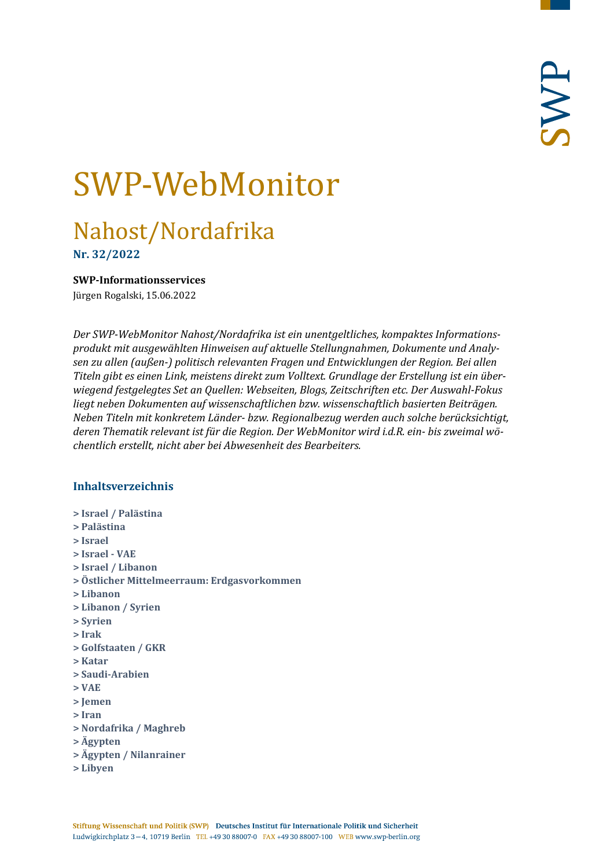# SWP-WebMonitor

# Nahost/Nordafrika

**Nr. 32/2022**

#### <span id="page-0-0"></span>**SWP-Informationsservices**

Jürgen Rogalski, 15.06.2022

*Der SWP-WebMonitor Nahost/Nordafrika ist ein unentgeltliches, kompaktes Informationsprodukt mit ausgewählten Hinweisen auf aktuelle Stellungnahmen, Dokumente und Analysen zu allen (außen-) politisch relevanten Fragen und Entwicklungen der Region. Bei allen Titeln gibt es einen Link, meistens direkt zum Volltext. Grundlage der Erstellung ist ein überwiegend festgelegtes Set an Quellen: Webseiten, Blogs, Zeitschriften etc. Der Auswahl-Fokus liegt neben Dokumenten auf wissenschaftlichen bzw. wissenschaftlich basierten Beiträgen. Neben Titeln mit konkretem Länder- bzw. Regionalbezug werden auch solche berücksichtigt, deren Thematik relevant ist für die Region. Der WebMonitor wird i.d.R. ein- bis zweimal wöchentlich erstellt, nicht aber bei Abwesenheit des Bearbeiters.*

# **Inhaltsverzeichnis**

- **[> Israel / Palästina](#page-1-0)**
- **[> Palästina](#page-3-0)**
- **[> Israel](#page-4-0)**
- **[> Israel -](#page-6-0) VAE**
- **[> Israel / Libanon](#page-6-1)**
- **[> Östlicher Mittelmeerraum: Erdgasvorkommen](#page-7-0)**
- **[> Libanon](#page-7-1)**
- **[> Libanon / Syrien](#page-8-0)**
- **[> Syrien](#page-8-1)**
- **[> Irak](#page-9-0)**
- **[> Golfstaaten / GKR](#page-11-0)**
- **[> Katar](#page-12-0)**
- **[> Saudi-Arabien](#page-12-1)**
- **[> VAE](#page-13-0)**
- **[> Jemen](#page-13-1)**
- **[> Iran](#page-14-0)**
- **[> Nordafrika / Maghreb](#page-16-0)**
- **[> Ägypten](#page-17-0)**
- **[> Ägypten / Nilanrainer](#page-18-0)**
- **[> Libyen](#page-19-0)**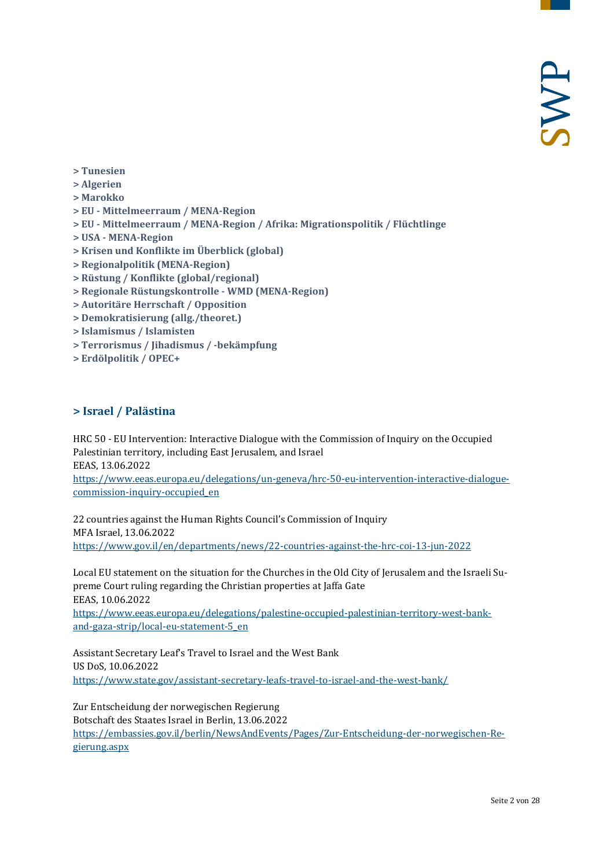- **[> Tunesien](#page-19-1)**
- **[> Algerien](#page-20-0)**
- **[> Marokko](#page-21-0)**
- **> EU - [Mittelmeerraum / MENA-Region](#page-22-0)**
- **> EU - [Mittelmeerraum / MENA-Region / Afrika: Migrationspolitik / Flüchtlinge](#page-22-1)**
- **> USA - [MENA-Region](#page-23-0)**
- **[> Krisen und Konflikte im Überblick \(global\)](#page-24-0)**
- **[> Regionalpolitik \(MENA-Region\)](#page-24-1)**
- **[> Rüstung / Konflikte \(global/regional\)](#page-24-2)**
- **[> Regionale Rüstungskontrolle -](#page-24-3) WMD (MENA-Region)**
- **[> Autoritäre Herrschaft / Opposition](#page-25-0)**
- **[> Demokratisierung \(allg./theoret.\)](#page-25-1)**
- **[> Islamismus / Islamisten](#page-25-2)**
- **[> Terrorismus / Jihadismus / -bekämpfung](#page-26-0)**
- <span id="page-1-0"></span>**[> Erdölpolitik / OPEC+](#page-26-1)**

#### **> Israel / Palästina**

HRC 50 - EU Intervention: Interactive Dialogue with the Commission of Inquiry on the Occupied Palestinian territory, including East Jerusalem, and Israel EEAS, 13.06.2022

[https://www.eeas.europa.eu/delegations/un-geneva/hrc-50-eu-intervention-interactive-dialogue](https://www.eeas.europa.eu/delegations/un-geneva/hrc-50-eu-intervention-interactive-dialogue-commission-inquiry-occupied_en)[commission-inquiry-occupied\\_en](https://www.eeas.europa.eu/delegations/un-geneva/hrc-50-eu-intervention-interactive-dialogue-commission-inquiry-occupied_en)

22 countries against the Human Rights Council's Commission of Inquiry MFA Israel, 13.06.2022 <https://www.gov.il/en/departments/news/22-countries-against-the-hrc-coi-13-jun-2022>

Local EU statement on the situation for the Churches in the Old City of Jerusalem and the Israeli Supreme Court ruling regarding the Christian properties at Jaffa Gate EEAS, 10.06.2022 [https://www.eeas.europa.eu/delegations/palestine-occupied-palestinian-territory-west-bank-](https://www.eeas.europa.eu/delegations/palestine-occupied-palestinian-territory-west-bank-and-gaza-strip/local-eu-statement-5_en)

[and-gaza-strip/local-eu-statement-5\\_en](https://www.eeas.europa.eu/delegations/palestine-occupied-palestinian-territory-west-bank-and-gaza-strip/local-eu-statement-5_en)

Assistant Secretary Leaf's Travel to Israel and the West Bank US DoS, 10.06.2022 <https://www.state.gov/assistant-secretary-leafs-travel-to-israel-and-the-west-bank/>

Zur Entscheidung der norwegischen Regierung Botschaft des Staates Israel in Berlin, 13.06.2022 [https://embassies.gov.il/berlin/NewsAndEvents/Pages/Zur-Entscheidung-der-norwegischen-Re](https://embassies.gov.il/berlin/NewsAndEvents/Pages/Zur-Entscheidung-der-norwegischen-Regierung.aspx)[gierung.aspx](https://embassies.gov.il/berlin/NewsAndEvents/Pages/Zur-Entscheidung-der-norwegischen-Regierung.aspx)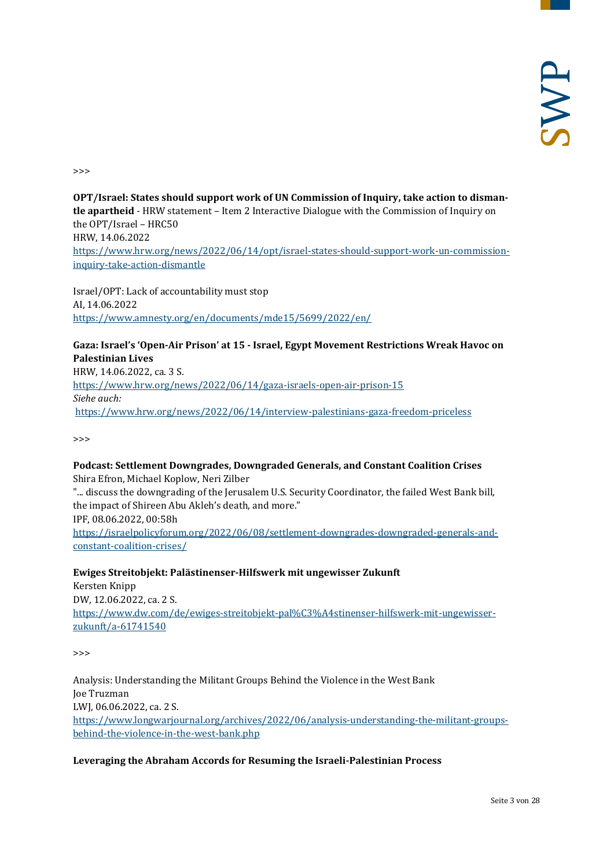>>>

**OPT/Israel: States should support work of UN Commission of Inquiry, take action to dismantle apartheid** - HRW statement – Item 2 Interactive Dialogue with the Commission of Inquiry on the OPT/Israel – HRC50 HRW, 14.06.2022 [https://www.hrw.org/news/2022/06/14/opt/israel-states-should-support-work-un-commission](https://www.hrw.org/news/2022/06/14/opt/israel-states-should-support-work-un-commission-inquiry-take-action-dismantle)[inquiry-take-action-dismantle](https://www.hrw.org/news/2022/06/14/opt/israel-states-should-support-work-un-commission-inquiry-take-action-dismantle)

Israel/OPT: Lack of accountability must stop AI, 14.06.2022 <https://www.amnesty.org/en/documents/mde15/5699/2022/en/>

# **Gaza: Israel's 'Open-Air Prison' at 15 - Israel, Egypt Movement Restrictions Wreak Havoc on Palestinian Lives**

HRW, 14.06.2022, ca. 3 S. <https://www.hrw.org/news/2022/06/14/gaza-israels-open-air-prison-15> *Siehe auch:* <https://www.hrw.org/news/2022/06/14/interview-palestinians-gaza-freedom-priceless>

>>>

#### **Podcast: Settlement Downgrades, Downgraded Generals, and Constant Coalition Crises**

Shira Efron, Michael Koplow, Neri Zilber

"... discuss the downgrading of the Jerusalem U.S. Security Coordinator, the failed West Bank bill, the impact of Shireen Abu Akleh's death, and more." IPF, 08.06.2022, 00:58h

[https://israelpolicyforum.org/2022/06/08/settlement-downgrades-downgraded-generals-and](https://israelpolicyforum.org/2022/06/08/settlement-downgrades-downgraded-generals-and-constant-coalition-crises/)[constant-coalition-crises/](https://israelpolicyforum.org/2022/06/08/settlement-downgrades-downgraded-generals-and-constant-coalition-crises/)

**Ewiges Streitobjekt: Palästinenser-Hilfswerk mit ungewisser Zukunft** Kersten Knipp DW, 12.06.2022, ca. 2 S. [https://www.dw.com/de/ewiges-streitobjekt-pal%C3%A4stinenser-hilfswerk-mit-ungewisser](https://www.dw.com/de/ewiges-streitobjekt-pal%C3%A4stinenser-hilfswerk-mit-ungewisser-zukunft/a-61741540)[zukunft/a-61741540](https://www.dw.com/de/ewiges-streitobjekt-pal%C3%A4stinenser-hilfswerk-mit-ungewisser-zukunft/a-61741540)

>>>

Analysis: Understanding the Militant Groups Behind the Violence in the West Bank Joe Truzman LWJ, 06.06.2022, ca. 2 S. [https://www.longwarjournal.org/archives/2022/06/analysis-understanding-the-militant-groups](https://www.longwarjournal.org/archives/2022/06/analysis-understanding-the-militant-groups-behind-the-violence-in-the-west-bank.php)[behind-the-violence-in-the-west-bank.php](https://www.longwarjournal.org/archives/2022/06/analysis-understanding-the-militant-groups-behind-the-violence-in-the-west-bank.php)

#### **Leveraging the Abraham Accords for Resuming the Israeli-Palestinian Process**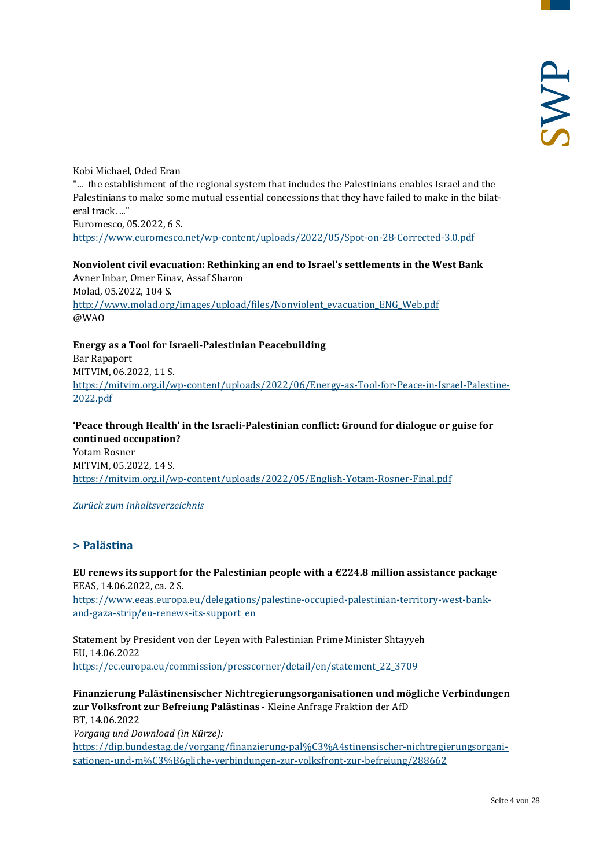Kobi Michael, Oded Eran "... the establishment of the regional system that includes the Palestinians enables Israel and the Palestinians to make some mutual essential concessions that they have failed to make in the bilateral track. ..." Euromesco, 05.2022, 6 S. <https://www.euromesco.net/wp-content/uploads/2022/05/Spot-on-28-Corrected-3.0.pdf>

**Nonviolent civil evacuation: Rethinking an end to Israel's settlements in the West Bank** Avner Inbar, Omer Einav, Assaf Sharon Molad, 05.2022, 104 S. [http://www.molad.org/images/upload/files/Nonviolent\\_evacuation\\_ENG\\_Web.pdf](http://www.molad.org/images/upload/files/Nonviolent_evacuation_ENG_Web.pdf) @WAO

**Energy as a Tool for Israeli-Palestinian Peacebuilding** Bar Rapaport MITVIM, 06.2022, 11 S. [https://mitvim.org.il/wp-content/uploads/2022/06/Energy-as-Tool-for-Peace-in-Israel-Palestine-](https://mitvim.org.il/wp-content/uploads/2022/06/Energy-as-Tool-for-Peace-in-Israel-Palestine-2022.pdf)[2022.pdf](https://mitvim.org.il/wp-content/uploads/2022/06/Energy-as-Tool-for-Peace-in-Israel-Palestine-2022.pdf)

**'Peace through Health' in the Israeli-Palestinian conflict: Ground for dialogue or guise for continued occupation?** Yotam Rosner

MITVIM, 05.2022, 14 S. <https://mitvim.org.il/wp-content/uploads/2022/05/English-Yotam-Rosner-Final.pdf>

#### <span id="page-3-0"></span>*[Zurück zum Inhaltsverzeichnis](#page-0-0)*

# **> Palästina**

**EU renews its support for the Palestinian people with a €224.8 million assistance package** EEAS, 14.06.2022, ca. 2 S. [https://www.eeas.europa.eu/delegations/palestine-occupied-palestinian-territory-west-bank](https://www.eeas.europa.eu/delegations/palestine-occupied-palestinian-territory-west-bank-and-gaza-strip/eu-renews-its-support_en)[and-gaza-strip/eu-renews-its-support\\_en](https://www.eeas.europa.eu/delegations/palestine-occupied-palestinian-territory-west-bank-and-gaza-strip/eu-renews-its-support_en)

Statement by President von der Leyen with Palestinian Prime Minister Shtayyeh EU, 14.06.2022 [https://ec.europa.eu/commission/presscorner/detail/en/statement\\_22\\_3709](https://ec.europa.eu/commission/presscorner/detail/en/statement_22_3709)

**Finanzierung Palästinensischer Nichtregierungsorganisationen und mögliche Verbindungen zur Volksfront zur Befreiung Palästinas** - Kleine Anfrage Fraktion der AfD BT, 14.06.2022 *Vorgang und Download (in Kürze):* [https://dip.bundestag.de/vorgang/finanzierung-pal%C3%A4stinensischer-nichtregierungsorgani](https://dip.bundestag.de/vorgang/finanzierung-pal%C3%A4stinensischer-nichtregierungsorganisationen-und-m%C3%B6gliche-verbindungen-zur-volksfront-zur-befreiung/288662)[sationen-und-m%C3%B6gliche-verbindungen-zur-volksfront-zur-befreiung/288662](https://dip.bundestag.de/vorgang/finanzierung-pal%C3%A4stinensischer-nichtregierungsorganisationen-und-m%C3%B6gliche-verbindungen-zur-volksfront-zur-befreiung/288662)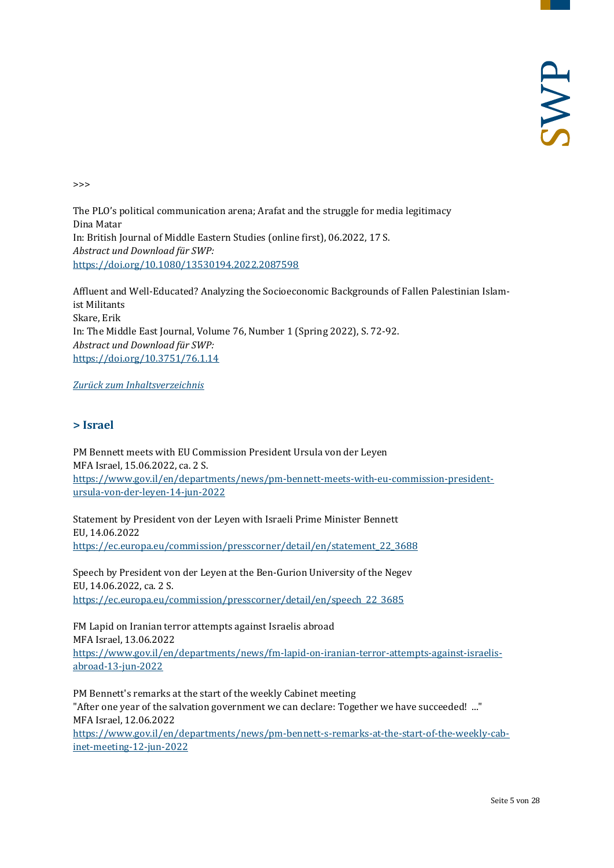>>>

The PLO's political communication arena; Arafat and the struggle for media legitimacy Dina Matar In: British Journal of Middle Eastern Studies (online first), 06.2022, 17 S. *Abstract und Download für SWP:* <https://doi.org/10.1080/13530194.2022.2087598>

Affluent and Well-Educated? Analyzing the Socioeconomic Backgrounds of Fallen Palestinian Islamist Militants Skare, Erik In: The Middle East Journal, Volume 76, Number 1 (Spring 2022), S. 72-92. *Abstract und Download für SWP:* <https://doi.org/10.3751/76.1.14>

<span id="page-4-0"></span>*[Zurück zum Inhaltsverzeichnis](#page-0-0)*

# **> Israel**

PM Bennett meets with EU Commission President Ursula von der Leyen MFA Israel, 15.06.2022, ca. 2 S. [https://www.gov.il/en/departments/news/pm-bennett-meets-with-eu-commission-president](https://www.gov.il/en/departments/news/pm-bennett-meets-with-eu-commission-president-ursula-von-der-leyen-14-jun-2022)[ursula-von-der-leyen-14-jun-2022](https://www.gov.il/en/departments/news/pm-bennett-meets-with-eu-commission-president-ursula-von-der-leyen-14-jun-2022)

Statement by President von der Leyen with Israeli Prime Minister Bennett EU, 14.06.2022 [https://ec.europa.eu/commission/presscorner/detail/en/statement\\_22\\_3688](https://ec.europa.eu/commission/presscorner/detail/en/statement_22_3688)

Speech by President von der Leyen at the Ben-Gurion University of the Negev EU, 14.06.2022, ca. 2 S. [https://ec.europa.eu/commission/presscorner/detail/en/speech\\_22\\_3685](https://ec.europa.eu/commission/presscorner/detail/en/speech_22_3685)

FM Lapid on Iranian terror attempts against Israelis abroad MFA Israel, 13.06.2022 [https://www.gov.il/en/departments/news/fm-lapid-on-iranian-terror-attempts-against-israelis](https://www.gov.il/en/departments/news/fm-lapid-on-iranian-terror-attempts-against-israelis-abroad-13-jun-2022)[abroad-13-jun-2022](https://www.gov.il/en/departments/news/fm-lapid-on-iranian-terror-attempts-against-israelis-abroad-13-jun-2022)

PM Bennett's remarks at the start of the weekly Cabinet meeting "After one year of the salvation government we can declare: Together we have succeeded! ..." MFA Israel, 12.06.2022

[https://www.gov.il/en/departments/news/pm-bennett-s-remarks-at-the-start-of-the-weekly-cab](https://www.gov.il/en/departments/news/pm-bennett-s-remarks-at-the-start-of-the-weekly-cabinet-meeting-12-jun-2022)[inet-meeting-12-jun-2022](https://www.gov.il/en/departments/news/pm-bennett-s-remarks-at-the-start-of-the-weekly-cabinet-meeting-12-jun-2022)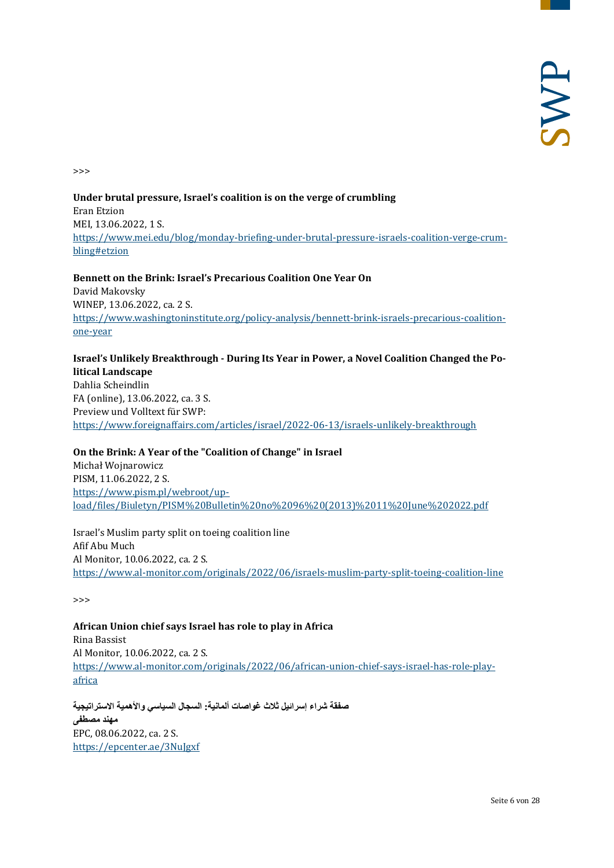>>>

#### **Under brutal pressure, Israel's coalition is on the verge of crumbling** Eran Etzion MEI, 13.06.2022, 1 S. [https://www.mei.edu/blog/monday-briefing-under-brutal-pressure-israels-coalition-verge-crum](https://www.mei.edu/blog/monday-briefing-under-brutal-pressure-israels-coalition-verge-crumbling#etzion)[bling#etzion](https://www.mei.edu/blog/monday-briefing-under-brutal-pressure-israels-coalition-verge-crumbling#etzion)

#### **Bennett on the Brink: Israel's Precarious Coalition One Year On** David Makovsky WINEP, 13.06.2022, ca. 2 S. [https://www.washingtoninstitute.org/policy-analysis/bennett-brink-israels-precarious-coalition](https://www.washingtoninstitute.org/policy-analysis/bennett-brink-israels-precarious-coalition-one-year)[one-year](https://www.washingtoninstitute.org/policy-analysis/bennett-brink-israels-precarious-coalition-one-year)

#### **Israel's Unlikely Breakthrough - During Its Year in Power, a Novel Coalition Changed the Political Landscape**

Dahlia Scheindlin FA (online), 13.06.2022, ca. 3 S. Preview und Volltext für SWP: <https://www.foreignaffairs.com/articles/israel/2022-06-13/israels-unlikely-breakthrough>

# **On the Brink: A Year of the "Coalition of Change" in Israel**  Michał Wojnarowicz PISM, 11.06.2022, 2 S. [https://www.pism.pl/webroot/up](https://www.pism.pl/webroot/upload/files/Biuletyn/PISM%20Bulletin%20no%2096%20(2013)%2011%20June%202022.pdf)[load/files/Biuletyn/PISM%20Bulletin%20no%2096%20\(2013\)%2011%20June%202022.pdf](https://www.pism.pl/webroot/upload/files/Biuletyn/PISM%20Bulletin%20no%2096%20(2013)%2011%20June%202022.pdf)

Israel's Muslim party split on toeing coalition line Afif Abu Much Al Monitor, 10.06.2022, ca. 2 S. <https://www.al-monitor.com/originals/2022/06/israels-muslim-party-split-toeing-coalition-line>

>>>

# **African Union chief says Israel has role to play in Africa**

Rina Bassist Al Monitor, 10.06.2022, ca. 2 S. [https://www.al-monitor.com/originals/2022/06/african-union-chief-says-israel-has-role-play](https://www.al-monitor.com/originals/2022/06/african-union-chief-says-israel-has-role-play-africa)[africa](https://www.al-monitor.com/originals/2022/06/african-union-chief-says-israel-has-role-play-africa)

**صفقة شراء إسرائیل ثلاث غواصات ألمانیة: السجال السیاسي والأھمیة الاستراتیجیة مھند مصطفى** EPC, 08.06.2022, ca. 2 S. <https://epcenter.ae/3NuJgxf>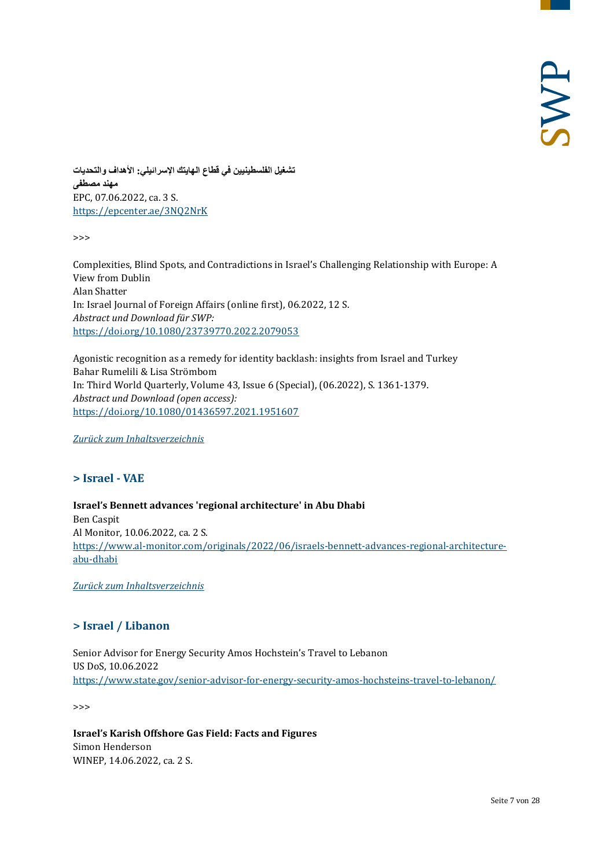**تشغیل الفلسطینیین في قطاع الھایتك الإسرائیلي: الأھداف والتحدیات مھند مصطفى** EPC, 07.06.2022, ca. 3 S. <https://epcenter.ae/3NQ2NrK>

>>>

Complexities, Blind Spots, and Contradictions in Israel's Challenging Relationship with Europe: A View from Dublin Alan Shatter In: Israel Journal of Foreign Affairs (online first), 06.2022, 12 S. *Abstract und Download für SWP:* <https://doi.org/10.1080/23739770.2022.2079053>

Agonistic recognition as a remedy for identity backlash: insights from Israel and Turkey Bahar Rumelili & Lisa Strömbom In: Third World Quarterly, Volume 43, Issue 6 (Special), (06.2022), S. 1361-1379. *Abstract und Download (open access):* <https://doi.org/10.1080/01436597.2021.1951607>

<span id="page-6-0"></span>*[Zurück zum Inhaltsverzeichnis](#page-0-0)*

#### **> Israel - VAE**

**Israel's Bennett advances 'regional architecture' in Abu Dhabi** Ben Caspit Al Monitor, 10.06.2022, ca. 2 S. [https://www.al-monitor.com/originals/2022/06/israels-bennett-advances-regional-architecture](https://www.al-monitor.com/originals/2022/06/israels-bennett-advances-regional-architecture-abu-dhabi)[abu-dhabi](https://www.al-monitor.com/originals/2022/06/israels-bennett-advances-regional-architecture-abu-dhabi)

<span id="page-6-1"></span>*[Zurück zum Inhaltsverzeichnis](#page-0-0)*

#### **> Israel / Libanon**

Senior Advisor for Energy Security Amos Hochstein's Travel to Lebanon US DoS, 10.06.2022 <https://www.state.gov/senior-advisor-for-energy-security-amos-hochsteins-travel-to-lebanon/>

>>>

**Israel's Karish Offshore Gas Field: Facts and Figures** Simon Henderson WINEP, 14.06.2022, ca. 2 S.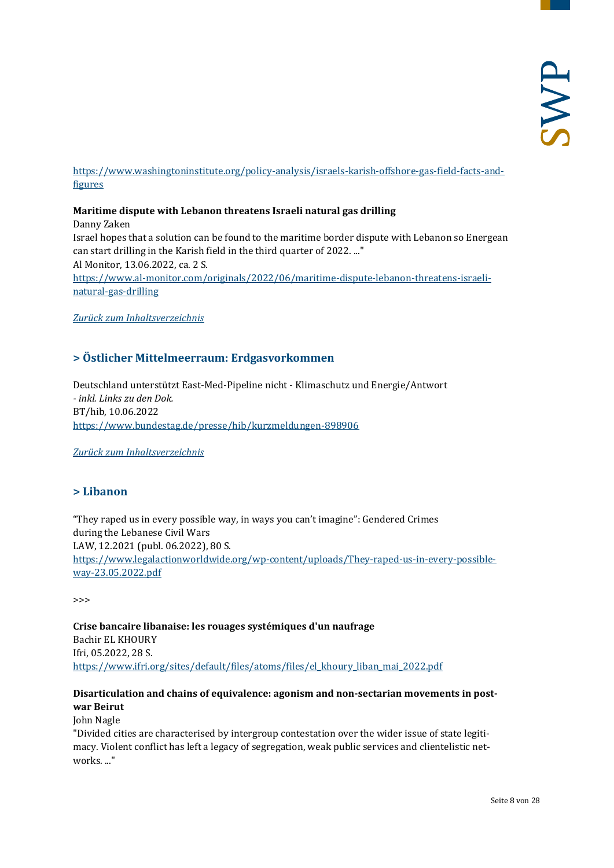#### [https://www.washingtoninstitute.org/policy-analysis/israels-karish-offshore-gas-field-facts-and](https://www.washingtoninstitute.org/policy-analysis/israels-karish-offshore-gas-field-facts-and-figures)[figures](https://www.washingtoninstitute.org/policy-analysis/israels-karish-offshore-gas-field-facts-and-figures)

#### **Maritime dispute with Lebanon threatens Israeli natural gas drilling**

Danny Zaken Israel hopes that a solution can be found to the maritime border dispute with Lebanon so Energean can start drilling in the Karish field in the third quarter of 2022. ..." Al Monitor, 13.06.2022, ca. 2 S. [https://www.al-monitor.com/originals/2022/06/maritime-dispute-lebanon-threatens-israeli](https://www.al-monitor.com/originals/2022/06/maritime-dispute-lebanon-threatens-israeli-natural-gas-drilling)[natural-gas-drilling](https://www.al-monitor.com/originals/2022/06/maritime-dispute-lebanon-threatens-israeli-natural-gas-drilling)

<span id="page-7-0"></span>*[Zurück zum Inhaltsverzeichnis](#page-0-0)*

# **> Östlicher Mittelmeerraum: Erdgasvorkommen**

Deutschland unterstützt East-Med-Pipeline nicht - Klimaschutz und Energie/Antwort *- inkl. Links zu den Dok.* BT/hib, 10.06.2022 <https://www.bundestag.de/presse/hib/kurzmeldungen-898906>

<span id="page-7-1"></span>*[Zurück zum Inhaltsverzeichnis](#page-0-0)*

#### **> Libanon**

"They raped us in every possible way, in ways you can't imagine": Gendered Crimes during the Lebanese Civil Wars LAW, 12.2021 (publ. 06.2022), 80 S. [https://www.legalactionworldwide.org/wp-content/uploads/They-raped-us-in-every-possible](https://www.legalactionworldwide.org/wp-content/uploads/They-raped-us-in-every-possible-way-23.05.2022.pdf)[way-23.05.2022.pdf](https://www.legalactionworldwide.org/wp-content/uploads/They-raped-us-in-every-possible-way-23.05.2022.pdf)

>>>

**Crise bancaire libanaise: les rouages systémiques d'un naufrage**  Bachir EL KHOURY Ifri, 05.2022, 28 S. [https://www.ifri.org/sites/default/files/atoms/files/el\\_khoury\\_liban\\_mai\\_2022.pdf](https://www.ifri.org/sites/default/files/atoms/files/el_khoury_liban_mai_2022.pdf)

# **Disarticulation and chains of equivalence: agonism and non-sectarian movements in postwar Beirut**

John Nagle

"Divided cities are characterised by intergroup contestation over the wider issue of state legitimacy. Violent conflict has left a legacy of segregation, weak public services and clientelistic networks. ..."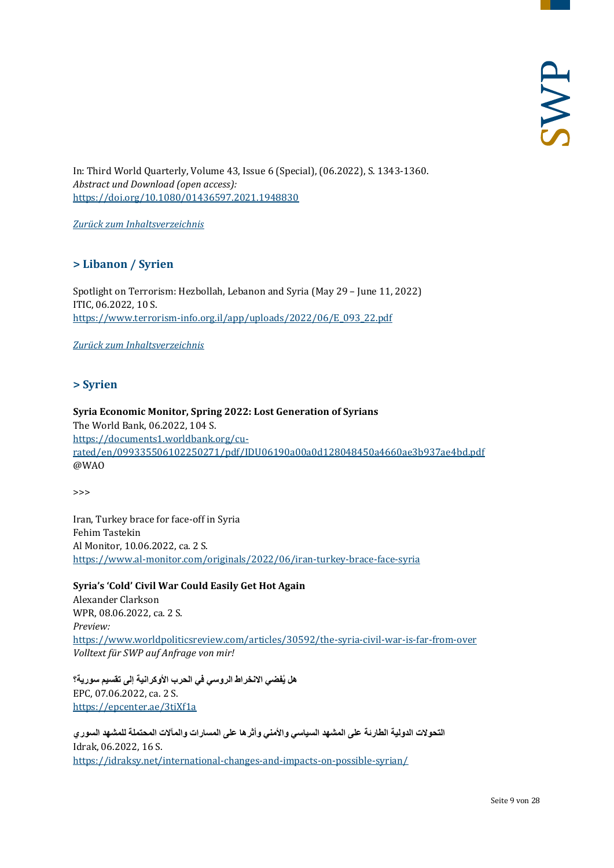In: Third World Quarterly, Volume 43, Issue 6 (Special), (06.2022), S. 1343-1360. *Abstract und Download (open access):* <https://doi.org/10.1080/01436597.2021.1948830>

<span id="page-8-0"></span>*[Zurück zum Inhaltsverzeichnis](#page-0-0)*

# **> Libanon / Syrien**

Spotlight on Terrorism: Hezbollah, Lebanon and Syria (May 29 – June 11, 2022) ITIC, 06.2022, 10 S. [https://www.terrorism-info.org.il/app/uploads/2022/06/E\\_093\\_22.pdf](https://www.terrorism-info.org.il/app/uploads/2022/06/E_093_22.pdf)

<span id="page-8-1"></span>*[Zurück zum Inhaltsverzeichnis](#page-0-0)*

#### **> Syrien**

#### **Syria Economic Monitor, Spring 2022: Lost Generation of Syrians** The World Bank, 06.2022, 104 S. [https://documents1.worldbank.org/cu](https://documents1.worldbank.org/curated/en/099335506102250271/pdf/IDU06190a00a0d128048450a4660ae3b937ae4bd.pdf)[rated/en/099335506102250271/pdf/IDU06190a00a0d128048450a4660ae3b937ae4bd.pdf](https://documents1.worldbank.org/curated/en/099335506102250271/pdf/IDU06190a00a0d128048450a4660ae3b937ae4bd.pdf) @WAO

>>>

Iran, Turkey brace for face-off in Syria Fehim Tastekin Al Monitor, 10.06.2022, ca. 2 S. <https://www.al-monitor.com/originals/2022/06/iran-turkey-brace-face-syria>

**Syria's 'Cold' Civil War Could Easily Get Hot Again** Alexander Clarkson WPR, 08.06.2022, ca. 2 S. *Preview:* <https://www.worldpoliticsreview.com/articles/30592/the-syria-civil-war-is-far-from-over> *Volltext für SWP auf Anfrage von mir!*

**ُفضي الانخراط الروسي في الحرب الأوكرانیة إلى تقسیم سوریة؟ ھل ی** EPC, 07.06.2022, ca. 2 S. <https://epcenter.ae/3tiXf1a>

**التحولات الدولیة الطارئة على المشھد السیاسي والأمني وأثرھا على المسارات والمآلات المحتملة للمشھد السوري** Idrak, 06.2022, 16 S. <https://idraksy.net/international-changes-and-impacts-on-possible-syrian/>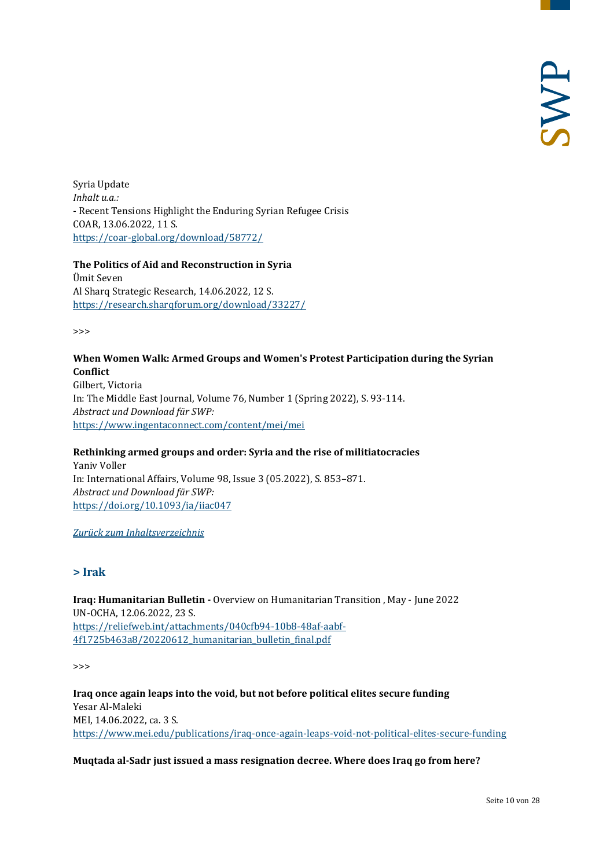Syria Update *Inhalt u.a.:* - Recent Tensions Highlight the Enduring Syrian Refugee Crisis COAR, 13.06.2022, 11 S. <https://coar-global.org/download/58772/>

#### **The Politics of Aid and Reconstruction in Syria** Ümit Seven

Al Sharq Strategic Research, 14.06.2022, 12 S. <https://research.sharqforum.org/download/33227/>

>>>

# **When Women Walk: Armed Groups and Women's Protest Participation during the Syrian Conflict**

Gilbert, Victoria In: The Middle East Journal, Volume 76, Number 1 (Spring 2022), S. 93-114. *Abstract und Download für SWP:* <https://www.ingentaconnect.com/content/mei/mei>

# **Rethinking armed groups and order: Syria and the rise of militiatocracies**

Yaniv Voller In: International Affairs, Volume 98, Issue 3 (05.2022), S. 853–871. *Abstract und Download für SWP:* <https://doi.org/10.1093/ia/iiac047>

<span id="page-9-0"></span>*[Zurück zum Inhaltsverzeichnis](#page-0-0)*

# **> Irak**

**Iraq: Humanitarian Bulletin -** Overview on Humanitarian Transition , May - June 2022 UN-OCHA, 12.06.2022, 23 S. [https://reliefweb.int/attachments/040cfb94-10b8-48af-aabf-](https://reliefweb.int/attachments/040cfb94-10b8-48af-aabf-4f1725b463a8/20220612_humanitarian_bulletin_final.pdf)[4f1725b463a8/20220612\\_humanitarian\\_bulletin\\_final.pdf](https://reliefweb.int/attachments/040cfb94-10b8-48af-aabf-4f1725b463a8/20220612_humanitarian_bulletin_final.pdf)

>>>

**Iraq once again leaps into the void, but not before political elites secure funding** Yesar Al-Maleki MEI, 14.06.2022, ca. 3 S. <https://www.mei.edu/publications/iraq-once-again-leaps-void-not-political-elites-secure-funding>

# **Muqtada al-Sadr just issued a mass resignation decree. Where does Iraq go from here?**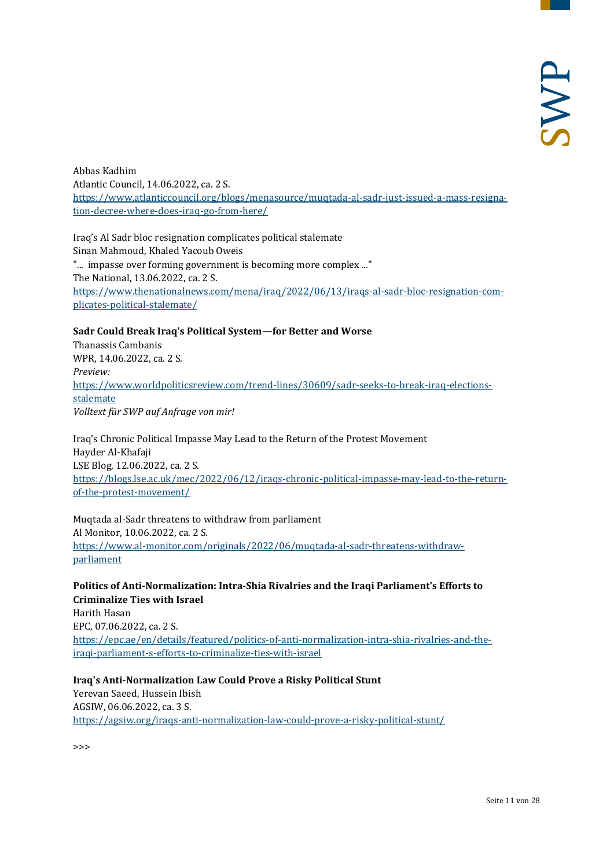Abbas Kadhim Atlantic Council, 14.06.2022, ca. 2 S. [https://www.atlanticcouncil.org/blogs/menasource/muqtada-al-sadr-just-issued-a-mass-resigna](https://www.atlanticcouncil.org/blogs/menasource/muqtada-al-sadr-just-issued-a-mass-resignation-decree-where-does-iraq-go-from-here/)[tion-decree-where-does-iraq-go-from-here/](https://www.atlanticcouncil.org/blogs/menasource/muqtada-al-sadr-just-issued-a-mass-resignation-decree-where-does-iraq-go-from-here/)

Iraq's Al Sadr bloc resignation complicates political stalemate Sinan Mahmoud, Khaled Yacoub Oweis "... impasse over forming government is becoming more complex ..." The National, 13.06.2022, ca. 2 S. [https://www.thenationalnews.com/mena/iraq/2022/06/13/iraqs-al-sadr-bloc-resignation-com](https://www.thenationalnews.com/mena/iraq/2022/06/13/iraqs-al-sadr-bloc-resignation-complicates-political-stalemate/)[plicates-political-stalemate/](https://www.thenationalnews.com/mena/iraq/2022/06/13/iraqs-al-sadr-bloc-resignation-complicates-political-stalemate/)

#### **Sadr Could Break Iraq's Political System—for Better and Worse**

Thanassis Cambanis WPR, 14.06.2022, ca. 2 S. *Preview:* [https://www.worldpoliticsreview.com/trend-lines/30609/sadr-seeks-to-break-iraq-elections](https://www.worldpoliticsreview.com/trend-lines/30609/sadr-seeks-to-break-iraq-elections-stalemate)[stalemate](https://www.worldpoliticsreview.com/trend-lines/30609/sadr-seeks-to-break-iraq-elections-stalemate) *Volltext für SWP auf Anfrage von mir!*

Iraq's Chronic Political Impasse May Lead to the Return of the Protest Movement Hayder Al-Khafaji LSE Blog, 12.06.2022, ca. 2 S. [https://blogs.lse.ac.uk/mec/2022/06/12/iraqs-chronic-political-impasse-may-lead-to-the-return](https://blogs.lse.ac.uk/mec/2022/06/12/iraqs-chronic-political-impasse-may-lead-to-the-return-of-the-protest-movement/)[of-the-protest-movement/](https://blogs.lse.ac.uk/mec/2022/06/12/iraqs-chronic-political-impasse-may-lead-to-the-return-of-the-protest-movement/)

Muqtada al-Sadr threatens to withdraw from parliament Al Monitor, 10.06.2022, ca. 2 S. [https://www.al-monitor.com/originals/2022/06/muqtada-al-sadr-threatens-withdraw](https://www.al-monitor.com/originals/2022/06/muqtada-al-sadr-threatens-withdraw-parliament)[parliament](https://www.al-monitor.com/originals/2022/06/muqtada-al-sadr-threatens-withdraw-parliament)

#### **Politics of Anti-Normalization: Intra-Shia Rivalries and the Iraqi Parliament's Efforts to Criminalize Ties with Israel**

Harith Hasan EPC, 07.06.2022, ca. 2 S. [https://epc.ae/en/details/featured/politics-of-anti-normalization-intra-shia-rivalries-and-the](https://epc.ae/en/details/featured/politics-of-anti-normalization-intra-shia-rivalries-and-the-iraqi-parliament-s-efforts-to-criminalize-ties-with-israel)[iraqi-parliament-s-efforts-to-criminalize-ties-with-israel](https://epc.ae/en/details/featured/politics-of-anti-normalization-intra-shia-rivalries-and-the-iraqi-parliament-s-efforts-to-criminalize-ties-with-israel)

**Iraq's Anti-Normalization Law Could Prove a Risky Political Stunt** Yerevan Saeed, Hussein Ibish AGSIW, 06.06.2022, ca. 3 S. <https://agsiw.org/iraqs-anti-normalization-law-could-prove-a-risky-political-stunt/>

>>>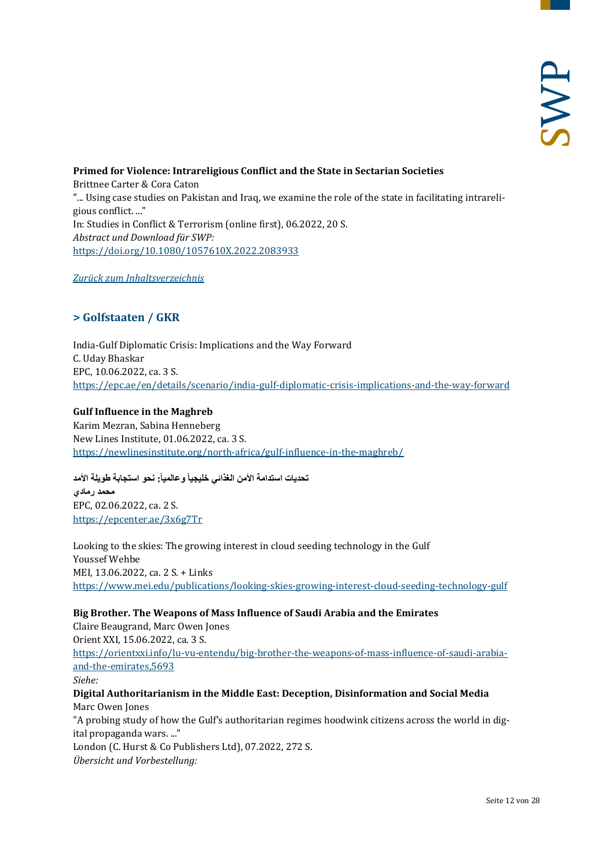**Primed for Violence: Intrareligious Conflict and the State in Sectarian Societies** Brittnee Carter & Cora Caton "... Using case studies on Pakistan and Iraq, we examine the role of the state in facilitating intrareligious conflict. ..." In: Studies in Conflict & Terrorism (online first), 06.2022, 20 S. *Abstract und Download für SWP:* <https://doi.org/10.1080/1057610X.2022.2083933>

<span id="page-11-0"></span>*[Zurück zum Inhaltsverzeichnis](#page-0-0)*

# **> Golfstaaten / GKR**

India-Gulf Diplomatic Crisis: Implications and the Way Forward C. Uday Bhaskar EPC, 10.06.2022, ca. 3 S. <https://epc.ae/en/details/scenario/india-gulf-diplomatic-crisis-implications-and-the-way-forward>

#### **Gulf Influence in the Maghreb**

Karim Mezran, Sabina Henneberg New Lines Institute, 01.06.2022, ca. 3 S. <https://newlinesinstitute.org/north-africa/gulf-influence-in-the-maghreb/>

تحديات استدامة الأمن الغذائ*ي* خليجياً و عالمياً: نحو استجابة طويلة الأمد

**محمد رمادي** EPC, 02.06.2022, ca. 2 S. <https://epcenter.ae/3x6g7Tr>

Looking to the skies: The growing interest in cloud seeding technology in the Gulf Youssef Wehbe MEI, 13.06.2022, ca. 2 S. + Links <https://www.mei.edu/publications/looking-skies-growing-interest-cloud-seeding-technology-gulf>

#### **Big Brother. The Weapons of Mass Influence of Saudi Arabia and the Emirates**

Claire Beaugrand, Marc Owen Jones Orient XXI, 15.06.2022, ca. 3 S. [https://orientxxi.info/lu-vu-entendu/big-brother-the-weapons-of-mass-influence-of-saudi-arabia](https://orientxxi.info/lu-vu-entendu/big-brother-the-weapons-of-mass-influence-of-saudi-arabia-and-the-emirates,5693)[and-the-emirates,5693](https://orientxxi.info/lu-vu-entendu/big-brother-the-weapons-of-mass-influence-of-saudi-arabia-and-the-emirates,5693) *Siehe:* **Digital Authoritarianism in the Middle East: Deception, Disinformation and Social Media** Marc Owen Jones "A probing study of how the Gulf's authoritarian regimes hoodwink citizens across the world in digital propaganda wars. ..."

London (C. Hurst & Co Publishers Ltd), 07.2022, 272 S. *Übersicht und Vorbestellung:*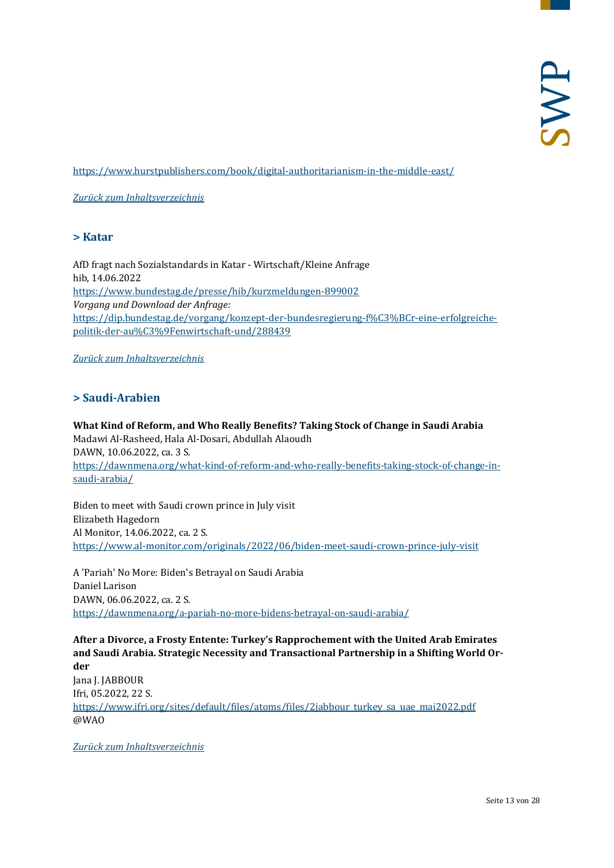<https://www.hurstpublishers.com/book/digital-authoritarianism-in-the-middle-east/>

<span id="page-12-0"></span>*[Zurück zum Inhaltsverzeichnis](#page-0-0)*

#### **> Katar**

AfD fragt nach Sozialstandards in Katar - Wirtschaft/Kleine Anfrage hib, 14.06.2022 <https://www.bundestag.de/presse/hib/kurzmeldungen-899002> *Vorgang und Download der Anfrage:* [https://dip.bundestag.de/vorgang/konzept-der-bundesregierung-f%C3%BCr-eine-erfolgreiche](https://dip.bundestag.de/vorgang/konzept-der-bundesregierung-f%C3%BCr-eine-erfolgreiche-politik-der-au%C3%9Fenwirtschaft-und/288439)[politik-der-au%C3%9Fenwirtschaft-und/288439](https://dip.bundestag.de/vorgang/konzept-der-bundesregierung-f%C3%BCr-eine-erfolgreiche-politik-der-au%C3%9Fenwirtschaft-und/288439)

<span id="page-12-1"></span>*[Zurück zum Inhaltsverzeichnis](#page-0-0)*

# **> Saudi-Arabien**

**What Kind of Reform, and Who Really Benefits? Taking Stock of Change in Saudi Arabia** Madawi Al-Rasheed, Hala Al-Dosari, Abdullah Alaoudh DAWN, 10.06.2022, ca. 3 S. [https://dawnmena.org/what-kind-of-reform-and-who-really-benefits-taking-stock-of-change-in](https://dawnmena.org/what-kind-of-reform-and-who-really-benefits-taking-stock-of-change-in-saudi-arabia/)[saudi-arabia/](https://dawnmena.org/what-kind-of-reform-and-who-really-benefits-taking-stock-of-change-in-saudi-arabia/)

Biden to meet with Saudi crown prince in July visit Elizabeth Hagedorn Al Monitor, 14.06.2022, ca. 2 S. <https://www.al-monitor.com/originals/2022/06/biden-meet-saudi-crown-prince-july-visit>

A 'Pariah' No More: Biden's Betrayal on Saudi Arabia Daniel Larison DAWN, 06.06.2022, ca. 2 S. <https://dawnmena.org/a-pariah-no-more-bidens-betrayal-on-saudi-arabia/>

**After a Divorce, a Frosty Entente: Turkey's Rapprochement with the United Arab Emirates and Saudi Arabia. Strategic Necessity and Transactional Partnership in a Shifting World Order** Jana J. JABBOUR Ifri, 05.2022, 22 S. [https://www.ifri.org/sites/default/files/atoms/files/2jabbour\\_turkey\\_sa\\_uae\\_mai2022.pdf](https://www.ifri.org/sites/default/files/atoms/files/2jabbour_turkey_sa_uae_mai2022.pdf) @WAO

*[Zurück zum Inhaltsverzeichnis](#page-0-0)*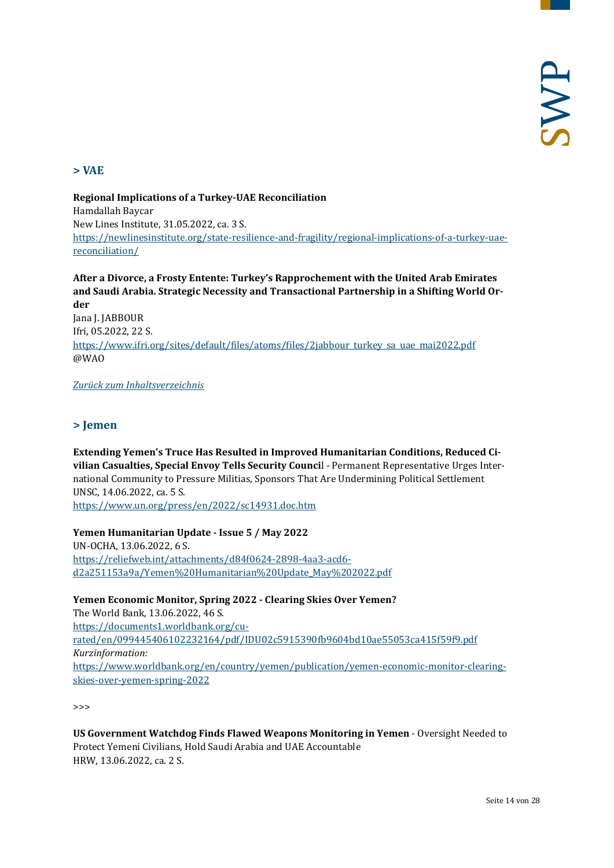# <span id="page-13-0"></span>**> VAE**

**Regional Implications of a Turkey-UAE Reconciliation**  Hamdallah Baycar New Lines Institute, 31.05.2022, ca. 3 S. [https://newlinesinstitute.org/state-resilience-and-fragility/regional-implications-of-a-turkey-uae](https://newlinesinstitute.org/state-resilience-and-fragility/regional-implications-of-a-turkey-uae-reconciliation/)[reconciliation/](https://newlinesinstitute.org/state-resilience-and-fragility/regional-implications-of-a-turkey-uae-reconciliation/)

**After a Divorce, a Frosty Entente: Turkey's Rapprochement with the United Arab Emirates and Saudi Arabia. Strategic Necessity and Transactional Partnership in a Shifting World Order** Jana J. JABBOUR Ifri, 05.2022, 22 S. [https://www.ifri.org/sites/default/files/atoms/files/2jabbour\\_turkey\\_sa\\_uae\\_mai2022.pdf](https://www.ifri.org/sites/default/files/atoms/files/2jabbour_turkey_sa_uae_mai2022.pdf) @WAO

#### <span id="page-13-1"></span>*[Zurück zum Inhaltsverzeichnis](#page-0-0)*

# **> Jemen**

**Extending Yemen's Truce Has Resulted in Improved Humanitarian Conditions, Reduced Civilian Casualties, Special Envoy Tells Security Counci**l - Permanent Representative Urges International Community to Pressure Militias, Sponsors That Are Undermining Political Settlement UNSC, 14.06.2022, ca. 5 S. <https://www.un.org/press/en/2022/sc14931.doc.htm>

#### **Yemen Humanitarian Update - Issue 5 / May 2022**

UN-OCHA, 13.06.2022, 6 S. [https://reliefweb.int/attachments/d84f0624-2898-4aa3-acd6](https://reliefweb.int/attachments/d84f0624-2898-4aa3-acd6-d2a251153a9a/Yemen%20Humanitarian%20Update_May%202022.pdf) [d2a251153a9a/Yemen%20Humanitarian%20Update\\_May%202022.pdf](https://reliefweb.int/attachments/d84f0624-2898-4aa3-acd6-d2a251153a9a/Yemen%20Humanitarian%20Update_May%202022.pdf)

#### **Yemen Economic Monitor, Spring 2022 - Clearing Skies Over Yemen?**

The World Bank, 13.06.2022, 46 S. [https://documents1.worldbank.org/cu](https://documents1.worldbank.org/curated/en/099445406102232164/pdf/IDU02c5915390fb9604bd10ae55053ca415f59f9.pdf)[rated/en/099445406102232164/pdf/IDU02c5915390fb9604bd10ae55053ca415f59f9.pdf](https://documents1.worldbank.org/curated/en/099445406102232164/pdf/IDU02c5915390fb9604bd10ae55053ca415f59f9.pdf) *Kurzinformation:* [https://www.worldbank.org/en/country/yemen/publication/yemen-economic-monitor-clearing](https://www.worldbank.org/en/country/yemen/publication/yemen-economic-monitor-clearing-skies-over-yemen-spring-2022)[skies-over-yemen-spring-2022](https://www.worldbank.org/en/country/yemen/publication/yemen-economic-monitor-clearing-skies-over-yemen-spring-2022)

**US Government Watchdog Finds Flawed Weapons Monitoring in Yemen** - Oversight Needed to Protect Yemeni Civilians, Hold Saudi Arabia and UAE Accountable HRW, 13.06.2022, ca. 2 S.

<sup>&</sup>gt;>>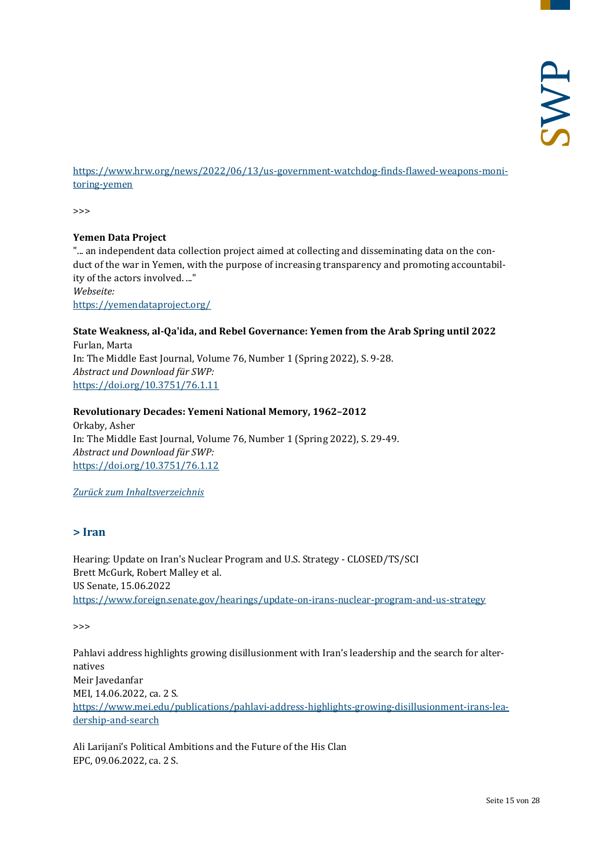[https://www.hrw.org/news/2022/06/13/us-government-watchdog-finds-flawed-weapons-moni](https://www.hrw.org/news/2022/06/13/us-government-watchdog-finds-flawed-weapons-monitoring-yemen)[toring-yemen](https://www.hrw.org/news/2022/06/13/us-government-watchdog-finds-flawed-weapons-monitoring-yemen)

>>>

#### **Yemen Data Project**

"... an independent data collection project aimed at collecting and disseminating data on the conduct of the war in Yemen, with the purpose of increasing transparency and promoting accountability of the actors involved. ..." *Webseite:*

<https://yemendataproject.org/>

#### **State Weakness, al-Qa'ida, and Rebel Governance: Yemen from the Arab Spring until 2022** Furlan, Marta In: The Middle East Journal, Volume 76, Number 1 (Spring 2022), S. 9-28. *Abstract und Download für SWP:* <https://doi.org/10.3751/76.1.11>

#### **Revolutionary Decades: Yemeni National Memory, 1962–2012**

Orkaby, Asher In: The Middle East Journal, Volume 76, Number 1 (Spring 2022), S. 29-49. *Abstract und Download für SWP:* <https://doi.org/10.3751/76.1.12>

<span id="page-14-0"></span>*[Zurück zum Inhaltsverzeichnis](#page-0-0)*

#### **> Iran**

Hearing: Update on Iran's Nuclear Program and U.S. Strategy - CLOSED/TS/SCI Brett McGurk, Robert Malley et al. US Senate, 15.06.2022 <https://www.foreign.senate.gov/hearings/update-on-irans-nuclear-program-and-us-strategy>

>>>

Pahlavi address highlights growing disillusionment with Iran's leadership and the search for alternatives Meir Javedanfar MEI, 14.06.2022, ca. 2 S. [https://www.mei.edu/publications/pahlavi-address-highlights-growing-disillusionment-irans-lea](https://www.mei.edu/publications/pahlavi-address-highlights-growing-disillusionment-irans-leadership-and-search)[dership-and-search](https://www.mei.edu/publications/pahlavi-address-highlights-growing-disillusionment-irans-leadership-and-search)

Ali Larijani's Political Ambitions and the Future of the His Clan EPC, 09.06.2022, ca. 2 S.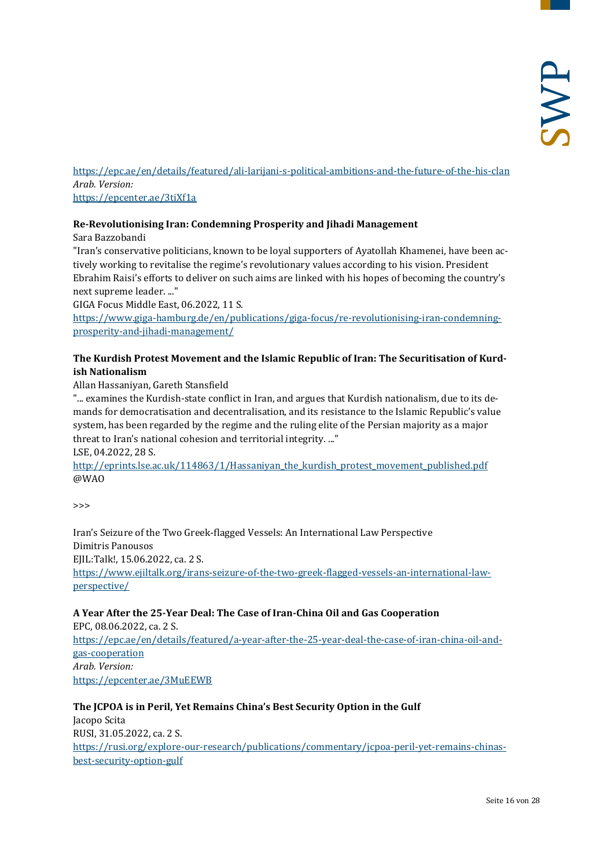<https://epc.ae/en/details/featured/ali-larijani-s-political-ambitions-and-the-future-of-the-his-clan> *Arab. Version:* <https://epcenter.ae/3tiXf1a>

#### **Re-Revolutionising Iran: Condemning Prosperity and Jihadi Management**

Sara Bazzobandi

"Iran's conservative politicians, known to be loyal supporters of Ayatollah Khamenei, have been actively working to revitalise the regime's revolutionary values according to his vision. President Ebrahim Raisi's efforts to deliver on such aims are linked with his hopes of becoming the country's next supreme leader. ..."

GIGA Focus Middle East, 06.2022, 11 S.

[https://www.giga-hamburg.de/en/publications/giga-focus/re-revolutionising-iran-condemning](https://www.giga-hamburg.de/en/publications/giga-focus/re-revolutionising-iran-condemning-prosperity-and-jihadi-management/)[prosperity-and-jihadi-management/](https://www.giga-hamburg.de/en/publications/giga-focus/re-revolutionising-iran-condemning-prosperity-and-jihadi-management/)

#### **The Kurdish Protest Movement and the Islamic Republic of Iran: The Securitisation of Kurdish Nationalism**

Allan Hassaniyan, Gareth Stansfield

"... examines the Kurdish-state conflict in Iran, and argues that Kurdish nationalism, due to its demands for democratisation and decentralisation, and its resistance to the Islamic Republic's value system, has been regarded by the regime and the ruling elite of the Persian majority as a major threat to Iran's national cohesion and territorial integrity. ..." LSE, 04.2022, 28 S.

[http://eprints.lse.ac.uk/114863/1/Hassaniyan\\_the\\_kurdish\\_protest\\_movement\\_published.pdf](http://eprints.lse.ac.uk/114863/1/Hassaniyan_the_kurdish_protest_movement_published.pdf) @WAO

>>>

Iran's Seizure of the Two Greek-flagged Vessels: An International Law Perspective Dimitris Panousos EJIL:Talk!, 15.06.2022, ca. 2 S. [https://www.ejiltalk.org/irans-seizure-of-the-two-greek-flagged-vessels-an-international-law](https://www.ejiltalk.org/irans-seizure-of-the-two-greek-flagged-vessels-an-international-law-perspective/)[perspective/](https://www.ejiltalk.org/irans-seizure-of-the-two-greek-flagged-vessels-an-international-law-perspective/)

# **A Year After the 25-Year Deal: The Case of Iran-China Oil and Gas Cooperation**

EPC, 08.06.2022, ca. 2 S. [https://epc.ae/en/details/featured/a-year-after-the-25-year-deal-the-case-of-iran-china-oil-and](https://epc.ae/en/details/featured/a-year-after-the-25-year-deal-the-case-of-iran-china-oil-and-gas-cooperation)[gas-cooperation](https://epc.ae/en/details/featured/a-year-after-the-25-year-deal-the-case-of-iran-china-oil-and-gas-cooperation) *Arab. Version:* <https://epcenter.ae/3MuEEWB>

# **The JCPOA is in Peril, Yet Remains China's Best Security Option in the Gulf**

Jacopo Scita RUSI, 31.05.2022, ca. 2 S. [https://rusi.org/explore-our-research/publications/commentary/jcpoa-peril-yet-remains-chinas](https://rusi.org/explore-our-research/publications/commentary/jcpoa-peril-yet-remains-chinas-best-security-option-gulf)[best-security-option-gulf](https://rusi.org/explore-our-research/publications/commentary/jcpoa-peril-yet-remains-chinas-best-security-option-gulf)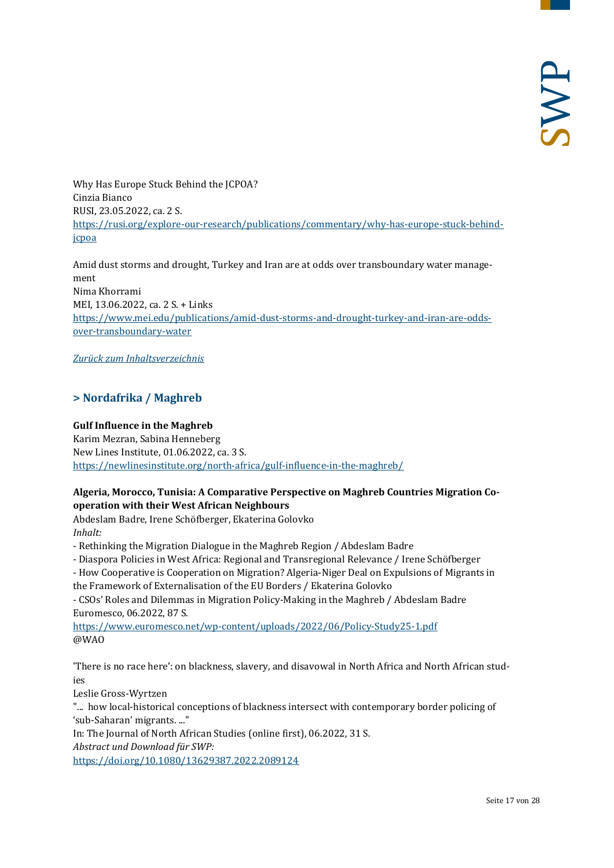Why Has Europe Stuck Behind the JCPOA? Cinzia Bianco RUSI, 23.05.2022, ca. 2 S. [https://rusi.org/explore-our-research/publications/commentary/why-has-europe-stuck-behind](https://rusi.org/explore-our-research/publications/commentary/why-has-europe-stuck-behind-jcpoa)[jcpoa](https://rusi.org/explore-our-research/publications/commentary/why-has-europe-stuck-behind-jcpoa)

Amid dust storms and drought, Turkey and Iran are at odds over transboundary water management Nima Khorrami MEI, 13.06.2022, ca. 2 S. + Links [https://www.mei.edu/publications/amid-dust-storms-and-drought-turkey-and-iran-are-odds](https://www.mei.edu/publications/amid-dust-storms-and-drought-turkey-and-iran-are-odds-over-transboundary-water)[over-transboundary-water](https://www.mei.edu/publications/amid-dust-storms-and-drought-turkey-and-iran-are-odds-over-transboundary-water)

<span id="page-16-0"></span>*[Zurück zum Inhaltsverzeichnis](#page-0-0)*

# **> Nordafrika / Maghreb**

#### **Gulf Influence in the Maghreb**

Karim Mezran, Sabina Henneberg New Lines Institute, 01.06.2022, ca. 3 S. <https://newlinesinstitute.org/north-africa/gulf-influence-in-the-maghreb/>

#### **Algeria, Morocco, Tunisia: A Comparative Perspective on Maghreb Countries Migration Cooperation with their West African Neighbours**

Abdeslam Badre, Irene Schöfberger, Ekaterina Golovko *Inhalt:*

- Rethinking the Migration Dialogue in the Maghreb Region / Abdeslam Badre
- Diaspora Policies in West Africa: Regional and Transregional Relevance / Irene Schöfberger
- How Cooperative is Cooperation on Migration? Algeria-Niger Deal on Expulsions of Migrants in the Framework of Externalisation of the EU Borders / Ekaterina Golovko

- CSOs' Roles and Dilemmas in Migration Policy-Making in the Maghreb / Abdeslam Badre Euromesco, 06.2022, 87 S.

<https://www.euromesco.net/wp-content/uploads/2022/06/Policy-Study25-1.pdf> @WAO

'There is no race here': on blackness, slavery, and disavowal in North Africa and North African studies

Leslie Gross-Wyrtzen

"... how local-historical conceptions of blackness intersect with contemporary border policing of 'sub-Saharan' migrants. ..."

In: The Journal of North African Studies (online first), 06.2022, 31 S. *Abstract und Download für SWP:*

<https://doi.org/10.1080/13629387.2022.2089124>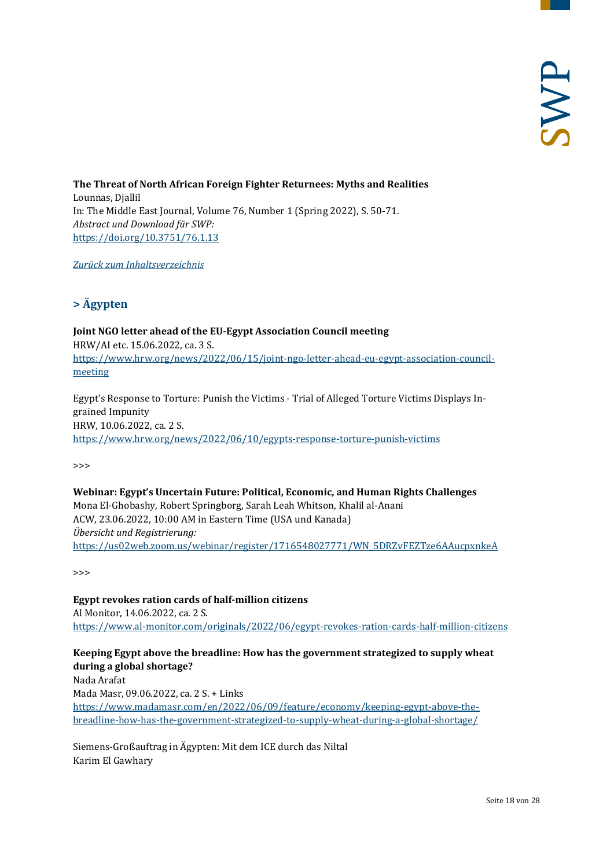**The Threat of North African Foreign Fighter Returnees: Myths and Realities** Lounnas, Djallil In: The Middle East Journal, Volume 76, Number 1 (Spring 2022), S. 50-71. *Abstract und Download für SWP:* <https://doi.org/10.3751/76.1.13>

<span id="page-17-0"></span>*[Zurück zum Inhaltsverzeichnis](#page-0-0)*

# **> Ägypten**

**Joint NGO letter ahead of the EU-Egypt Association Council meeting** HRW/AI etc. 15.06.2022, ca. 3 S. [https://www.hrw.org/news/2022/06/15/joint-ngo-letter-ahead-eu-egypt-association-council](https://www.hrw.org/news/2022/06/15/joint-ngo-letter-ahead-eu-egypt-association-council-meeting)[meeting](https://www.hrw.org/news/2022/06/15/joint-ngo-letter-ahead-eu-egypt-association-council-meeting)

Egypt's Response to Torture: Punish the Victims - Trial of Alleged Torture Victims Displays Ingrained Impunity HRW, 10.06.2022, ca. 2 S. <https://www.hrw.org/news/2022/06/10/egypts-response-torture-punish-victims>

>>>

**Webinar: Egypt's Uncertain Future: Political, Economic, and Human Rights Challenges** Mona El-Ghobashy, Robert Springborg, Sarah Leah Whitson, Khalil al-Anani ACW, 23.06.2022, 10:00 AM in Eastern Time (USA und Kanada) *Übersicht und Registrierung:* [https://us02web.zoom.us/webinar/register/1716548027771/WN\\_5DRZvFEZTze6AAucpxnkeA](https://us02web.zoom.us/webinar/register/1716548027771/WN_5DRZvFEZTze6AAucpxnkeA)

>>>

**Egypt revokes ration cards of half-million citizens** Al Monitor, 14.06.2022, ca. 2 S. <https://www.al-monitor.com/originals/2022/06/egypt-revokes-ration-cards-half-million-citizens>

#### **Keeping Egypt above the breadline: How has the government strategized to supply wheat during a global shortage?**

Nada Arafat Mada Masr, 09.06.2022, ca. 2 S. + Links [https://www.madamasr.com/en/2022/06/09/feature/economy/keeping-egypt-above-the](https://www.madamasr.com/en/2022/06/09/feature/economy/keeping-egypt-above-the-breadline-how-has-the-government-strategized-to-supply-wheat-during-a-global-shortage/)[breadline-how-has-the-government-strategized-to-supply-wheat-during-a-global-shortage/](https://www.madamasr.com/en/2022/06/09/feature/economy/keeping-egypt-above-the-breadline-how-has-the-government-strategized-to-supply-wheat-during-a-global-shortage/)

Siemens-Großauftrag in Ägypten: Mit dem ICE durch das Niltal Karim El Gawhary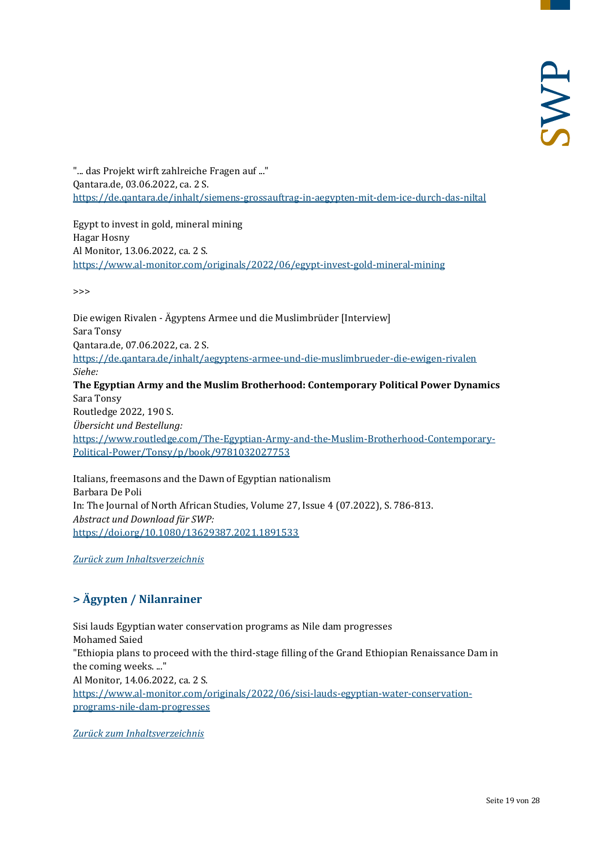"... das Projekt wirft zahlreiche Fragen auf ..." Qantara.de, 03.06.2022, ca. 2 S. <https://de.qantara.de/inhalt/siemens-grossauftrag-in-aegypten-mit-dem-ice-durch-das-niltal>

Egypt to invest in gold, mineral mining Hagar Hosny Al Monitor, 13.06.2022, ca. 2 S. <https://www.al-monitor.com/originals/2022/06/egypt-invest-gold-mineral-mining>

 $\rightarrow$ 

Die ewigen Rivalen - Ägyptens Armee und die Muslimbrüder [Interview] Sara Tonsy Qantara.de, 07.06.2022, ca. 2 S. <https://de.qantara.de/inhalt/aegyptens-armee-und-die-muslimbrueder-die-ewigen-rivalen> *Siehe:* **The Egyptian Army and the Muslim Brotherhood: Contemporary Political Power Dynamics** Sara Tonsy Routledge 2022, 190 S. *Übersicht und Bestellung:* [https://www.routledge.com/The-Egyptian-Army-and-the-Muslim-Brotherhood-Contemporary-](https://www.routledge.com/The-Egyptian-Army-and-the-Muslim-Brotherhood-Contemporary-Political-Power/Tonsy/p/book/9781032027753)[Political-Power/Tonsy/p/book/9781032027753](https://www.routledge.com/The-Egyptian-Army-and-the-Muslim-Brotherhood-Contemporary-Political-Power/Tonsy/p/book/9781032027753)

Italians, freemasons and the Dawn of Egyptian nationalism Barbara De Poli In: The Journal of North African Studies, Volume 27, Issue 4 (07.2022), S. 786-813. *Abstract und Download für SWP:* <https://doi.org/10.1080/13629387.2021.1891533>

<span id="page-18-0"></span>*[Zurück zum Inhaltsverzeichnis](#page-0-0)*

# **> Ägypten / Nilanrainer**

Sisi lauds Egyptian water conservation programs as Nile dam progresses Mohamed Saied "Ethiopia plans to proceed with the third-stage filling of the Grand Ethiopian Renaissance Dam in the coming weeks. ..." Al Monitor, 14.06.2022, ca. 2 S. [https://www.al-monitor.com/originals/2022/06/sisi-lauds-egyptian-water-conservation](https://www.al-monitor.com/originals/2022/06/sisi-lauds-egyptian-water-conservation-programs-nile-dam-progresses)[programs-nile-dam-progresses](https://www.al-monitor.com/originals/2022/06/sisi-lauds-egyptian-water-conservation-programs-nile-dam-progresses)

*[Zurück zum Inhaltsverzeichnis](#page-0-0)*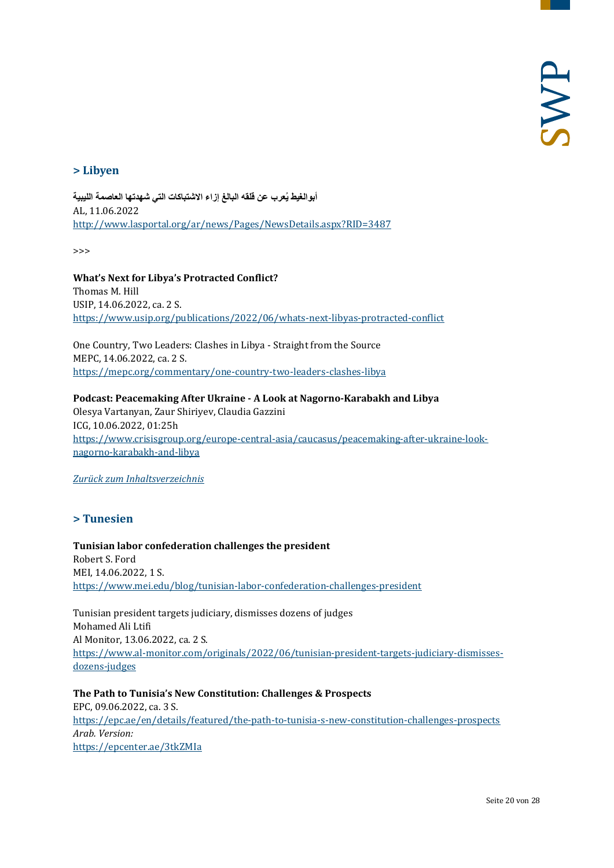# <span id="page-19-0"></span>**> Libyen**

**ُعرب عن قلقھ البالغ إزاء الاشتباكات التي شھدتھا العاصمة اللیبیة أبوالغیط ی** AL, 11.06.2022 <http://www.lasportal.org/ar/news/Pages/NewsDetails.aspx?RID=3487>

>>>

**What's Next for Libya's Protracted Conflict?** Thomas M. Hill USIP, 14.06.2022, ca. 2 S. <https://www.usip.org/publications/2022/06/whats-next-libyas-protracted-conflict>

One Country, Two Leaders: Clashes in Libya - Straight from the Source MEPC, 14.06.2022, ca. 2 S. <https://mepc.org/commentary/one-country-two-leaders-clashes-libya>

**Podcast: Peacemaking After Ukraine - A Look at Nagorno-Karabakh and Libya** Olesya Vartanyan, Zaur Shiriyev, Claudia Gazzini ICG, 10.06.2022, 01:25h [https://www.crisisgroup.org/europe-central-asia/caucasus/peacemaking-after-ukraine-look](https://www.crisisgroup.org/europe-central-asia/caucasus/peacemaking-after-ukraine-look-nagorno-karabakh-and-libya)[nagorno-karabakh-and-libya](https://www.crisisgroup.org/europe-central-asia/caucasus/peacemaking-after-ukraine-look-nagorno-karabakh-and-libya)

<span id="page-19-1"></span>*[Zurück zum Inhaltsverzeichnis](#page-0-0)*

# **> Tunesien**

**Tunisian labor confederation challenges the president** Robert S. Ford MEI, 14.06.2022, 1 S. <https://www.mei.edu/blog/tunisian-labor-confederation-challenges-president>

Tunisian president targets judiciary, dismisses dozens of judges Mohamed Ali Ltifi Al Monitor, 13.06.2022, ca. 2 S. [https://www.al-monitor.com/originals/2022/06/tunisian-president-targets-judiciary-dismisses](https://www.al-monitor.com/originals/2022/06/tunisian-president-targets-judiciary-dismisses-dozens-judges)[dozens-judges](https://www.al-monitor.com/originals/2022/06/tunisian-president-targets-judiciary-dismisses-dozens-judges)

**The Path to Tunisia's New Constitution: Challenges & Prospects** EPC, 09.06.2022, ca. 3 S. <https://epc.ae/en/details/featured/the-path-to-tunisia-s-new-constitution-challenges-prospects> *Arab. Version:* <https://epcenter.ae/3tkZMIa>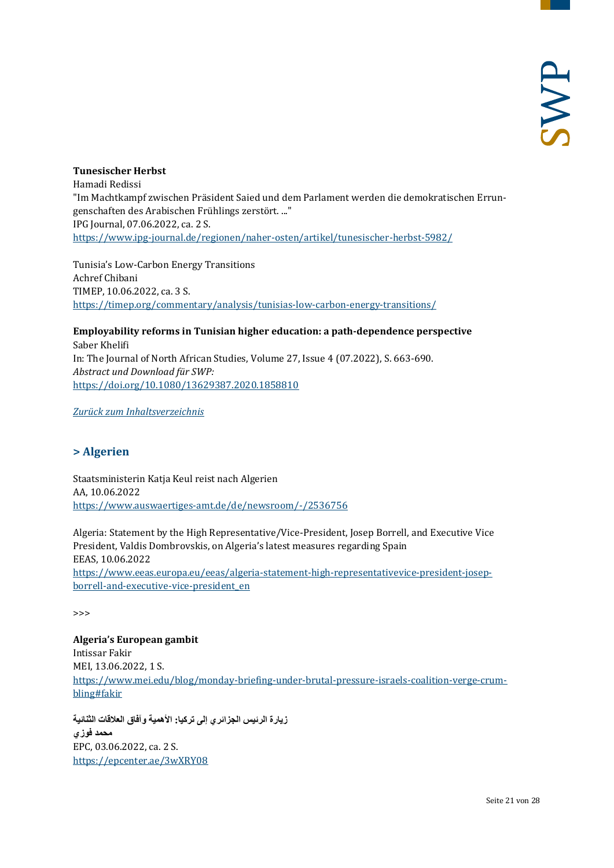#### **Tunesischer Herbst**

Hamadi Redissi "Im Machtkampf zwischen Präsident Saied und dem Parlament werden die demokratischen Errungenschaften des Arabischen Frühlings zerstört. ..." IPG Journal, 07.06.2022, ca. 2 S. <https://www.ipg-journal.de/regionen/naher-osten/artikel/tunesischer-herbst-5982/>

Tunisia's Low-Carbon Energy Transitions Achref Chibani TIMEP, 10.06.2022, ca. 3 S. <https://timep.org/commentary/analysis/tunisias-low-carbon-energy-transitions/>

**Employability reforms in Tunisian higher education: a path-dependence perspective** Saber Khelifi In: The Journal of North African Studies, Volume 27, Issue 4 (07.2022), S. 663-690. *Abstract und Download für SWP:* <https://doi.org/10.1080/13629387.2020.1858810>

<span id="page-20-0"></span>*[Zurück zum Inhaltsverzeichnis](#page-0-0)*

# **> Algerien**

Staatsministerin Katja Keul reist nach Algerien AA, 10.06.2022 <https://www.auswaertiges-amt.de/de/newsroom/-/2536756>

Algeria: Statement by the High Representative/Vice-President, Josep Borrell, and Executive Vice President, Valdis Dombrovskis, on Algeria's latest measures regarding Spain EEAS, 10.06.2022

[https://www.eeas.europa.eu/eeas/algeria-statement-high-representativevice-president-josep](https://www.eeas.europa.eu/eeas/algeria-statement-high-representativevice-president-josep-borrell-and-executive-vice-president_en)[borrell-and-executive-vice-president\\_en](https://www.eeas.europa.eu/eeas/algeria-statement-high-representativevice-president-josep-borrell-and-executive-vice-president_en)

>>>

**Algeria's European gambit** Intissar Fakir MEI, 13.06.2022, 1 S. [https://www.mei.edu/blog/monday-briefing-under-brutal-pressure-israels-coalition-verge-crum](https://www.mei.edu/blog/monday-briefing-under-brutal-pressure-israels-coalition-verge-crumbling#fakir)[bling#fakir](https://www.mei.edu/blog/monday-briefing-under-brutal-pressure-israels-coalition-verge-crumbling#fakir)

**زیارة الرئیس الجزائري إلى تركیا: الأھمیة وآفاق العلاقات الثنائیة محمد فوزي** EPC, 03.06.2022, ca. 2 S. <https://epcenter.ae/3wXRY08>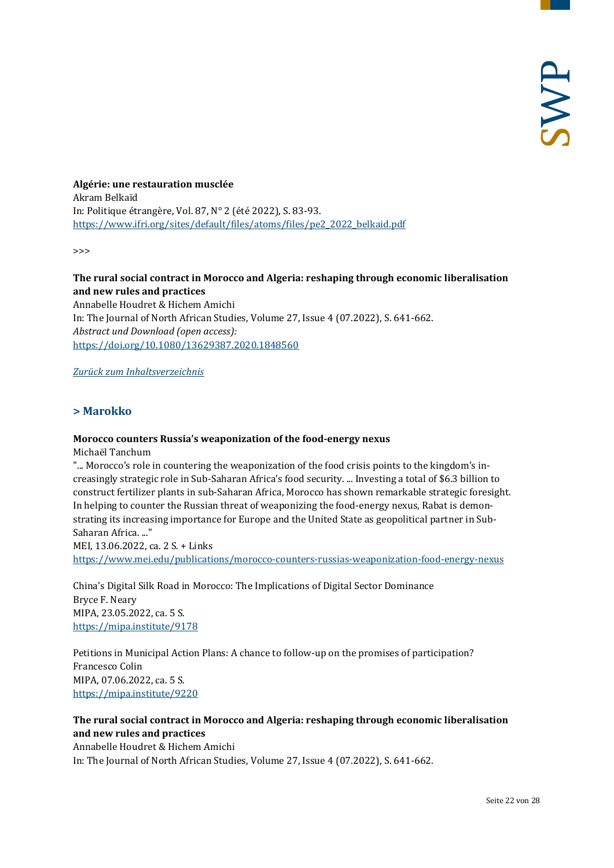**Algérie: une restauration musclée** Akram Belkaïd In: Politique étrangère, Vol. 87, N° 2 (été 2022), S. 83-93. [https://www.ifri.org/sites/default/files/atoms/files/pe2\\_2022\\_belkaid.pdf](https://www.ifri.org/sites/default/files/atoms/files/pe2_2022_belkaid.pdf)

>>>

#### **The rural social contract in Morocco and Algeria: reshaping through economic liberalisation and new rules and practices**

Annabelle Houdret & Hichem Amichi In: The Journal of North African Studies, Volume 27, Issue 4 (07.2022), S. 641-662. *Abstract und Download (open access):* <https://doi.org/10.1080/13629387.2020.1848560>

<span id="page-21-0"></span>*[Zurück zum Inhaltsverzeichnis](#page-0-0)*

#### **> Marokko**

#### **Morocco counters Russia's weaponization of the food-energy nexus**

Michaël Tanchum

"... Morocco's role in countering the weaponization of the food crisis points to the kingdom's increasingly strategic role in Sub-Saharan Africa's food security. ... Investing a total of \$6.3 billion to construct fertilizer plants in sub-Saharan Africa, Morocco has shown remarkable strategic foresight. In helping to counter the Russian threat of weaponizing the food-energy nexus, Rabat is demonstrating its increasing importance for Europe and the United State as geopolitical partner in Sub-Saharan Africa. ..."

MEI, 13.06.2022, ca. 2 S. + Links <https://www.mei.edu/publications/morocco-counters-russias-weaponization-food-energy-nexus>

China's Digital Silk Road in Morocco: The Implications of Digital Sector Dominance Bryce F. Neary MIPA, 23.05.2022, ca. 5 S. <https://mipa.institute/9178>

Petitions in Municipal Action Plans: A chance to follow-up on the promises of participation? Francesco Colin MIPA, 07.06.2022, ca. 5 S. <https://mipa.institute/9220>

#### **The rural social contract in Morocco and Algeria: reshaping through economic liberalisation and new rules and practices**

Annabelle Houdret & Hichem Amichi In: The Journal of North African Studies, Volume 27, Issue 4 (07.2022), S. 641-662.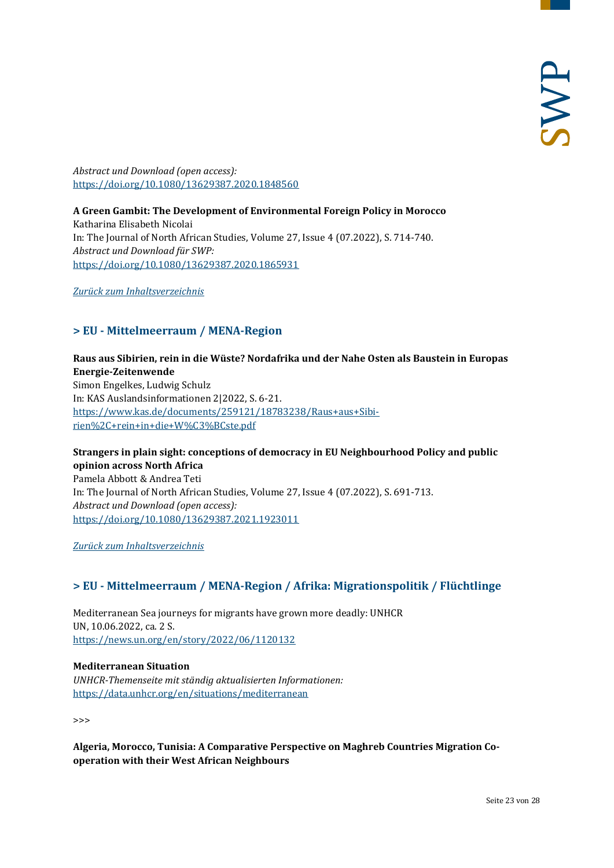*Abstract und Download (open access):* <https://doi.org/10.1080/13629387.2020.1848560>

# **A Green Gambit: The Development of Environmental Foreign Policy in Morocco**

Katharina Elisabeth Nicolai In: The Journal of North African Studies, Volume 27, Issue 4 (07.2022), S. 714-740. *Abstract und Download für SWP:* <https://doi.org/10.1080/13629387.2020.1865931>

<span id="page-22-0"></span>*[Zurück zum Inhaltsverzeichnis](#page-0-0)*

# **> EU - Mittelmeerraum / MENA-Region**

# **Raus aus Sibirien, rein in die Wüste? Nordafrika und der Nahe Osten als Baustein in Europas Energie-Zeitenwende**

Simon Engelkes, Ludwig Schulz In: KAS Auslandsinformationen 2|2022, S. 6-21. [https://www.kas.de/documents/259121/18783238/Raus+aus+Sibi](https://www.kas.de/documents/259121/18783238/Raus+aus+Sibirien%2C+rein+in+die+W%C3%BCste.pdf)[rien%2C+rein+in+die+W%C3%BCste.pdf](https://www.kas.de/documents/259121/18783238/Raus+aus+Sibirien%2C+rein+in+die+W%C3%BCste.pdf)

#### **Strangers in plain sight: conceptions of democracy in EU Neighbourhood Policy and public opinion across North Africa**

Pamela Abbott & Andrea Teti In: The Journal of North African Studies, Volume 27, Issue 4 (07.2022), S. 691-713. *Abstract und Download (open access):* <https://doi.org/10.1080/13629387.2021.1923011>

<span id="page-22-1"></span>*[Zurück zum Inhaltsverzeichnis](#page-0-0)*

# **> EU - Mittelmeerraum / MENA-Region / Afrika: Migrationspolitik / Flüchtlinge**

Mediterranean Sea journeys for migrants have grown more deadly: UNHCR UN, 10.06.2022, ca. 2 S. <https://news.un.org/en/story/2022/06/1120132>

#### **Mediterranean Situation**

*UNHCR-Themenseite mit ständig aktualisierten Informationen:* <https://data.unhcr.org/en/situations/mediterranean>

>>>

**Algeria, Morocco, Tunisia: A Comparative Perspective on Maghreb Countries Migration Cooperation with their West African Neighbours**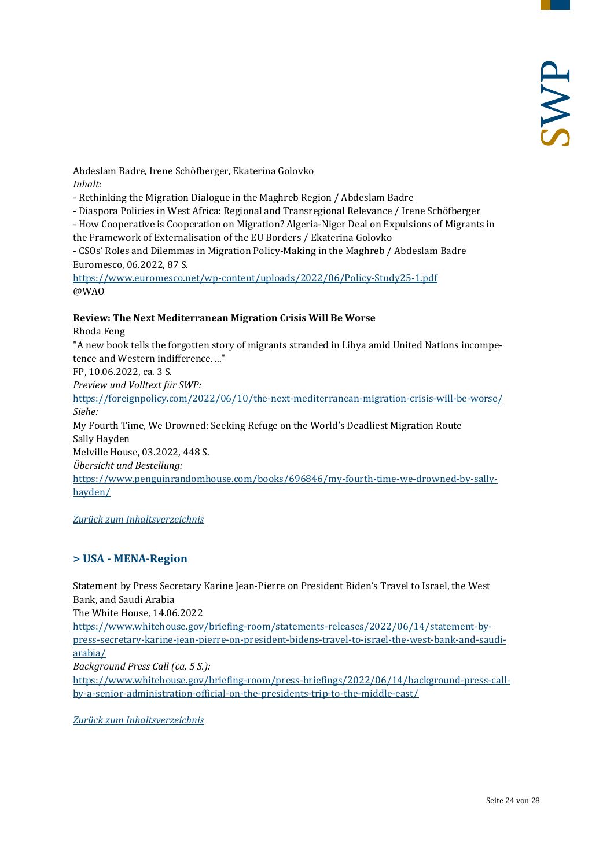Abdeslam Badre, Irene Schöfberger, Ekaterina Golovko *Inhalt:*

- Rethinking the Migration Dialogue in the Maghreb Region / Abdeslam Badre

- Diaspora Policies in West Africa: Regional and Transregional Relevance / Irene Schöfberger

- How Cooperative is Cooperation on Migration? Algeria-Niger Deal on Expulsions of Migrants in

the Framework of Externalisation of the EU Borders / Ekaterina Golovko

- CSOs' Roles and Dilemmas in Migration Policy-Making in the Maghreb / Abdeslam Badre Euromesco, 06.2022, 87 S.

<https://www.euromesco.net/wp-content/uploads/2022/06/Policy-Study25-1.pdf> @WAO

#### **Review: The Next Mediterranean Migration Crisis Will Be Worse**

Rhoda Feng

"A new book tells the forgotten story of migrants stranded in Libya amid United Nations incompetence and Western indifference. ..."

FP, 10.06.2022, ca. 3 S.

*Preview und Volltext für SWP:*

<https://foreignpolicy.com/2022/06/10/the-next-mediterranean-migration-crisis-will-be-worse/> *Siehe:*

My Fourth Time, We Drowned: Seeking Refuge on the World's Deadliest Migration Route Sally Hayden

Melville House, 03.2022, 448 S.

*Übersicht und Bestellung:*

[https://www.penguinrandomhouse.com/books/696846/my-fourth-time-we-drowned-by-sally](https://www.penguinrandomhouse.com/books/696846/my-fourth-time-we-drowned-by-sally-hayden/)[hayden/](https://www.penguinrandomhouse.com/books/696846/my-fourth-time-we-drowned-by-sally-hayden/)

<span id="page-23-0"></span>*[Zurück zum Inhaltsverzeichnis](#page-0-0)*

# **> USA - MENA-Region**

Statement by Press Secretary Karine Jean-Pierre on President Biden's Travel to Israel, the West Bank, and Saudi Arabia

The White House, 14.06.2022

[https://www.whitehouse.gov/briefing-room/statements-releases/2022/06/14/statement-by](https://www.whitehouse.gov/briefing-room/statements-releases/2022/06/14/statement-by-press-secretary-karine-jean-pierre-on-president-bidens-travel-to-israel-the-west-bank-and-saudi-arabia/)[press-secretary-karine-jean-pierre-on-president-bidens-travel-to-israel-the-west-bank-and-saudi](https://www.whitehouse.gov/briefing-room/statements-releases/2022/06/14/statement-by-press-secretary-karine-jean-pierre-on-president-bidens-travel-to-israel-the-west-bank-and-saudi-arabia/)[arabia/](https://www.whitehouse.gov/briefing-room/statements-releases/2022/06/14/statement-by-press-secretary-karine-jean-pierre-on-president-bidens-travel-to-israel-the-west-bank-and-saudi-arabia/)

*Background Press Call (ca. 5 S.):*

[https://www.whitehouse.gov/briefing-room/press-briefings/2022/06/14/background-press-call](https://www.whitehouse.gov/briefing-room/press-briefings/2022/06/14/background-press-call-by-a-senior-administration-official-on-the-presidents-trip-to-the-middle-east/)[by-a-senior-administration-official-on-the-presidents-trip-to-the-middle-east/](https://www.whitehouse.gov/briefing-room/press-briefings/2022/06/14/background-press-call-by-a-senior-administration-official-on-the-presidents-trip-to-the-middle-east/)

*[Zurück zum Inhaltsverzeichnis](#page-0-0)*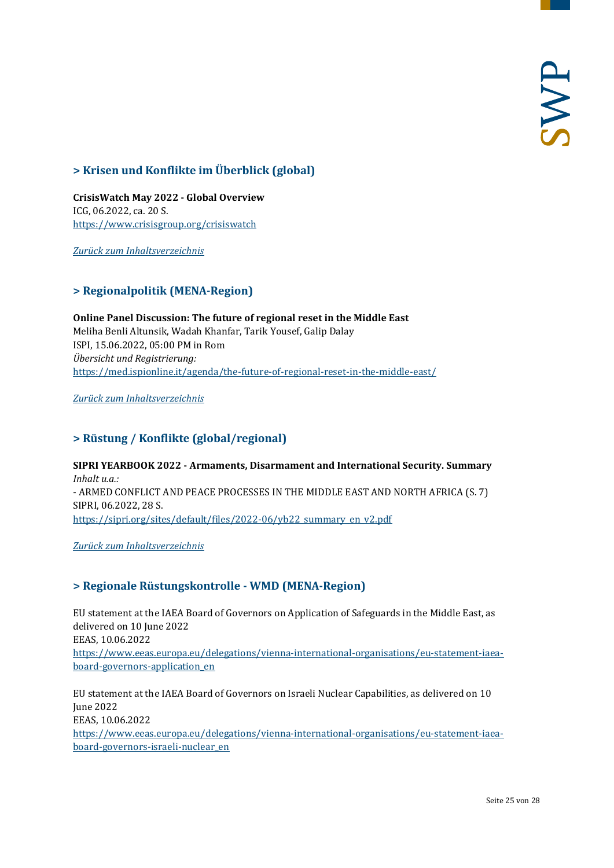# <span id="page-24-0"></span>**> Krisen und Konflikte im Überblick (global)**

**CrisisWatch May 2022 - Global Overview** ICG, 06.2022, ca. 20 S. <https://www.crisisgroup.org/crisiswatch>

<span id="page-24-1"></span>*[Zurück zum Inhaltsverzeichnis](#page-0-0)*

# **> Regionalpolitik (MENA-Region)**

**Online Panel Discussion: The future of regional reset in the Middle East**  Meliha Benli Altunsik, Wadah Khanfar, Tarik Yousef, Galip Dalay ISPI, 15.06.2022, 05:00 PM in Rom *Übersicht und Registrierung:* <https://med.ispionline.it/agenda/the-future-of-regional-reset-in-the-middle-east/>

<span id="page-24-2"></span>*[Zurück zum Inhaltsverzeichnis](#page-0-0)*

# **> Rüstung / Konflikte (global/regional)**

**SIPRI YEARBOOK 2022 - Armaments, Disarmament and International Security. Summary** *Inhalt u.a.:* - ARMED CONFLICT AND PEACE PROCESSES IN THE MIDDLE EAST AND NORTH AFRICA (S. 7) SIPRI, 06.2022, 28 S. [https://sipri.org/sites/default/files/2022-06/yb22\\_summary\\_en\\_v2.pdf](https://sipri.org/sites/default/files/2022-06/yb22_summary_en_v2.pdf)

<span id="page-24-3"></span>*[Zurück zum Inhaltsverzeichnis](#page-0-0)*

# **> Regionale Rüstungskontrolle - WMD (MENA-Region)**

EU statement at the IAEA Board of Governors on Application of Safeguards in the Middle East, as delivered on 10 June 2022 EEAS, 10.06.2022 [https://www.eeas.europa.eu/delegations/vienna-international-organisations/eu-statement-iaea](https://www.eeas.europa.eu/delegations/vienna-international-organisations/eu-statement-iaea-board-governors-application_en)[board-governors-application\\_en](https://www.eeas.europa.eu/delegations/vienna-international-organisations/eu-statement-iaea-board-governors-application_en)

EU statement at the IAEA Board of Governors on Israeli Nuclear Capabilities, as delivered on 10 June 2022 EEAS, 10.06.2022

[https://www.eeas.europa.eu/delegations/vienna-international-organisations/eu-statement-iaea](https://www.eeas.europa.eu/delegations/vienna-international-organisations/eu-statement-iaea-board-governors-israeli-nuclear_en)[board-governors-israeli-nuclear\\_en](https://www.eeas.europa.eu/delegations/vienna-international-organisations/eu-statement-iaea-board-governors-israeli-nuclear_en)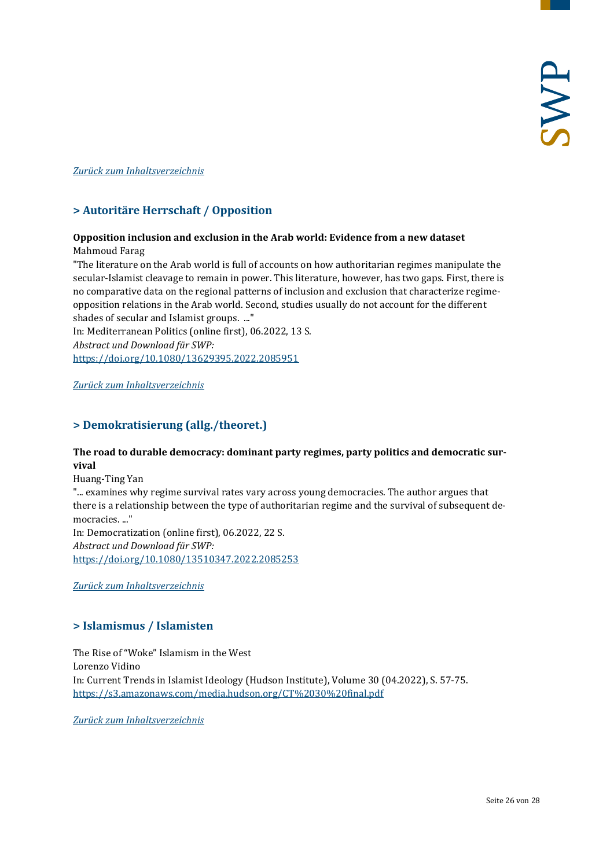#### <span id="page-25-0"></span>*[Zurück zum Inhaltsverzeichnis](#page-0-0)*

# **> Autoritäre Herrschaft / Opposition**

#### **Opposition inclusion and exclusion in the Arab world: Evidence from a new dataset** Mahmoud Farag

"The literature on the Arab world is full of accounts on how authoritarian regimes manipulate the secular-Islamist cleavage to remain in power. This literature, however, has two gaps. First, there is no comparative data on the regional patterns of inclusion and exclusion that characterize regimeopposition relations in the Arab world. Second, studies usually do not account for the different shades of secular and Islamist groups. ..."

In: Mediterranean Politics (online first), 06.2022, 13 S. *Abstract und Download für SWP:* <https://doi.org/10.1080/13629395.2022.2085951>

<span id="page-25-1"></span>*[Zurück zum Inhaltsverzeichnis](#page-0-0)*

# **> Demokratisierung (allg./theoret.)**

#### **The road to durable democracy: dominant party regimes, party politics and democratic survival**

Huang-Ting Yan

"... examines why regime survival rates vary across young democracies. The author argues that there is a relationship between the type of authoritarian regime and the survival of subsequent democracies. ..."

In: Democratization (online first), 06.2022, 22 S. *Abstract und Download für SWP:* <https://doi.org/10.1080/13510347.2022.2085253>

<span id="page-25-2"></span>*[Zurück zum Inhaltsverzeichnis](#page-0-0)*

# **> Islamismus / Islamisten**

The Rise of "Woke" Islamism in the West Lorenzo Vidino In: Current Trends in Islamist Ideology (Hudson Institute), Volume 30 (04.2022), S. 57-75. <https://s3.amazonaws.com/media.hudson.org/CT%2030%20final.pdf>

*[Zurück zum Inhaltsverzeichnis](#page-0-0)*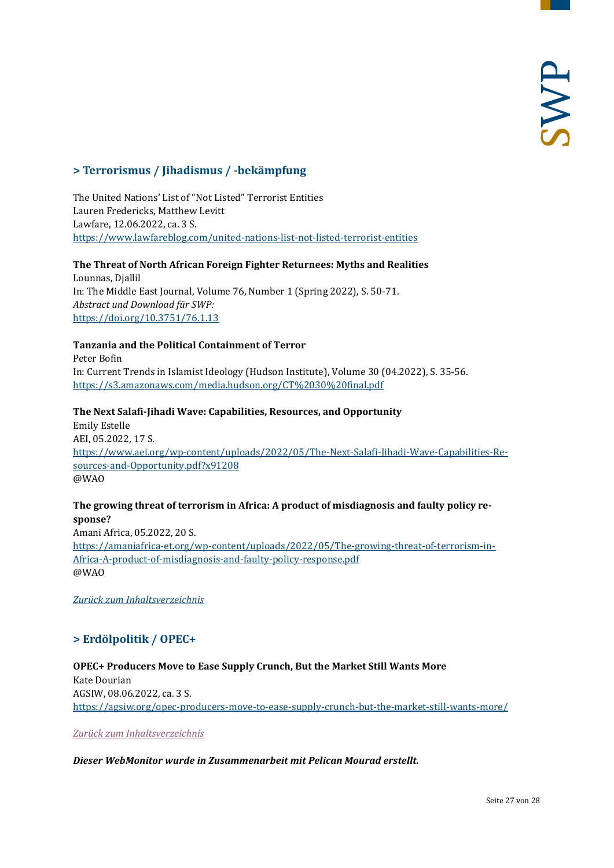# <span id="page-26-0"></span>**> Terrorismus / Jihadismus / -bekämpfung**

The United Nations' List of "Not Listed" Terrorist Entities Lauren Fredericks, Matthew Levitt Lawfare, 12.06.2022, ca. 3 S. <https://www.lawfareblog.com/united-nations-list-not-listed-terrorist-entities>

**The Threat of North African Foreign Fighter Returnees: Myths and Realities** Lounnas, Djallil In: The Middle East Journal, Volume 76, Number 1 (Spring 2022), S. 50-71. *Abstract und Download für SWP:* <https://doi.org/10.3751/76.1.13>

#### **Tanzania and the Political Containment of Terror**

Peter Bofin In: Current Trends in Islamist Ideology (Hudson Institute), Volume 30 (04.2022), S. 35-56. <https://s3.amazonaws.com/media.hudson.org/CT%2030%20final.pdf>

**The Next Salafi-Jihadi Wave: Capabilities, Resources, and Opportunity** Emily Estelle AEI, 05.2022, 17 S. [https://www.aei.org/wp-content/uploads/2022/05/The-Next-Salafi-Jihadi-Wave-Capabilities-Re](https://www.aei.org/wp-content/uploads/2022/05/The-Next-Salafi-Jihadi-Wave-Capabilities-Resources-and-Opportunity.pdf?x91208)[sources-and-Opportunity.pdf?x91208](https://www.aei.org/wp-content/uploads/2022/05/The-Next-Salafi-Jihadi-Wave-Capabilities-Resources-and-Opportunity.pdf?x91208) @WAO

#### **The growing threat of terrorism in Africa: A product of misdiagnosis and faulty policy response?**

Amani Africa, 05.2022, 20 S. [https://amaniafrica-et.org/wp-content/uploads/2022/05/The-growing-threat-of-terrorism-in-](https://amaniafrica-et.org/wp-content/uploads/2022/05/The-growing-threat-of-terrorism-in-Africa-A-product-of-misdiagnosis-and-faulty-policy-response.pdf)[Africa-A-product-of-misdiagnosis-and-faulty-policy-response.pdf](https://amaniafrica-et.org/wp-content/uploads/2022/05/The-growing-threat-of-terrorism-in-Africa-A-product-of-misdiagnosis-and-faulty-policy-response.pdf) @WAO

<span id="page-26-1"></span>*[Zurück zum Inhaltsverzeichnis](#page-0-0)*

# **> Erdölpolitik / OPEC+**

**OPEC+ Producers Move to Ease Supply Crunch, But the Market Still Wants More** Kate Dourian AGSIW, 08.06.2022, ca. 3 S. <https://agsiw.org/opec-producers-move-to-ease-supply-crunch-but-the-market-still-wants-more/>

*[Zurück zum Inhaltsverzeichnis](#page-0-0)*

#### *Dieser WebMonitor wurde in Zusammenarbeit mit Pelican Mourad erstellt.*